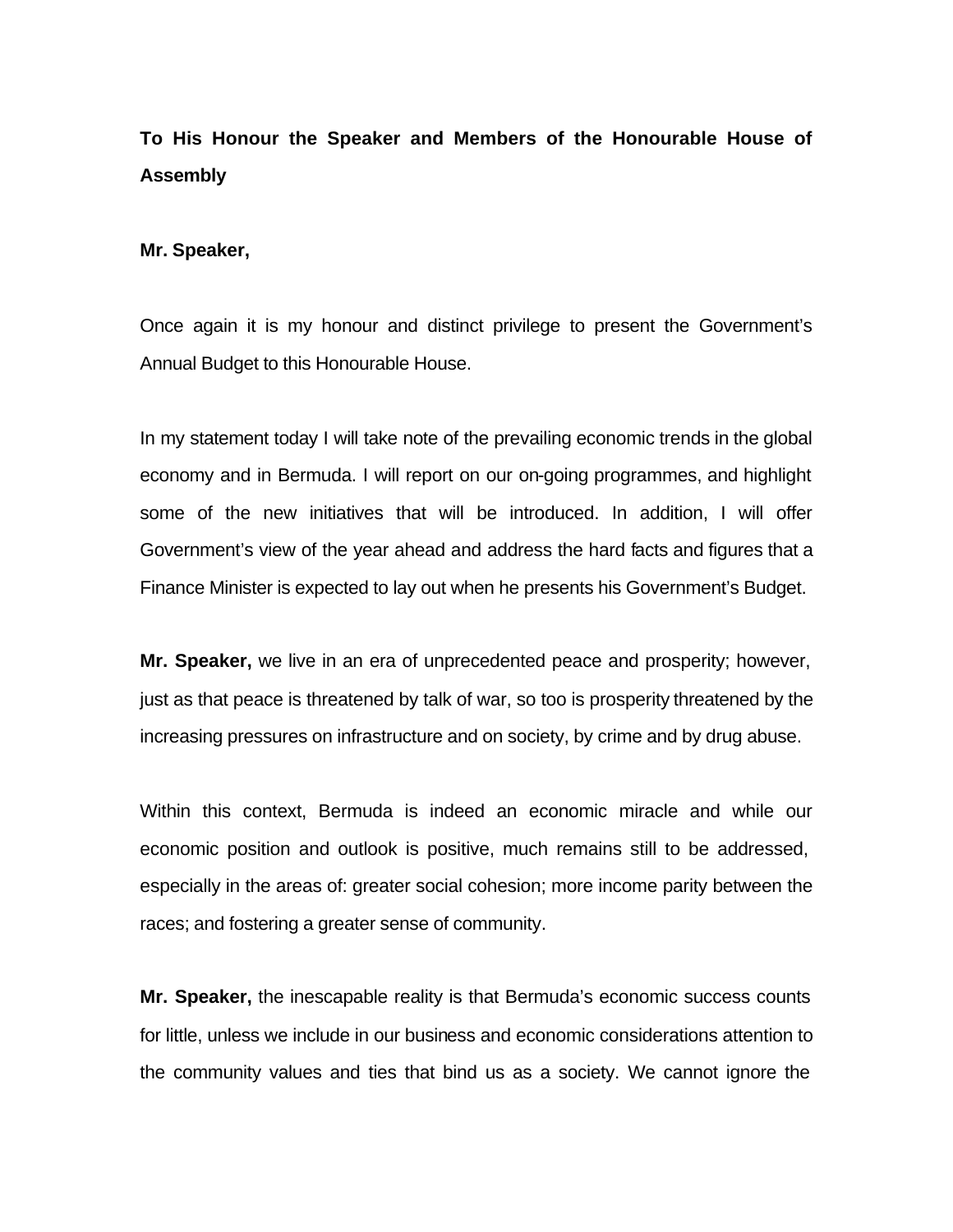# **To His Honour the Speaker and Members of the Honourable House of Assembly**

#### **Mr. Speaker,**

Once again it is my honour and distinct privilege to present the Government's Annual Budget to this Honourable House.

In my statement today I will take note of the prevailing economic trends in the global economy and in Bermuda. I will report on our on-going programmes, and highlight some of the new initiatives that will be introduced. In addition, I will offer Government's view of the year ahead and address the hard facts and figures that a Finance Minister is expected to lay out when he presents his Government's Budget.

**Mr. Speaker,** we live in an era of unprecedented peace and prosperity; however, just as that peace is threatened by talk of war, so too is prosperity threatened by the increasing pressures on infrastructure and on society, by crime and by drug abuse.

Within this context, Bermuda is indeed an economic miracle and while our economic position and outlook is positive, much remains still to be addressed, especially in the areas of: greater social cohesion; more income parity between the races; and fostering a greater sense of community.

**Mr. Speaker,** the inescapable reality is that Bermuda's economic success counts for little, unless we include in our business and economic considerations attention to the community values and ties that bind us as a society. We cannot ignore the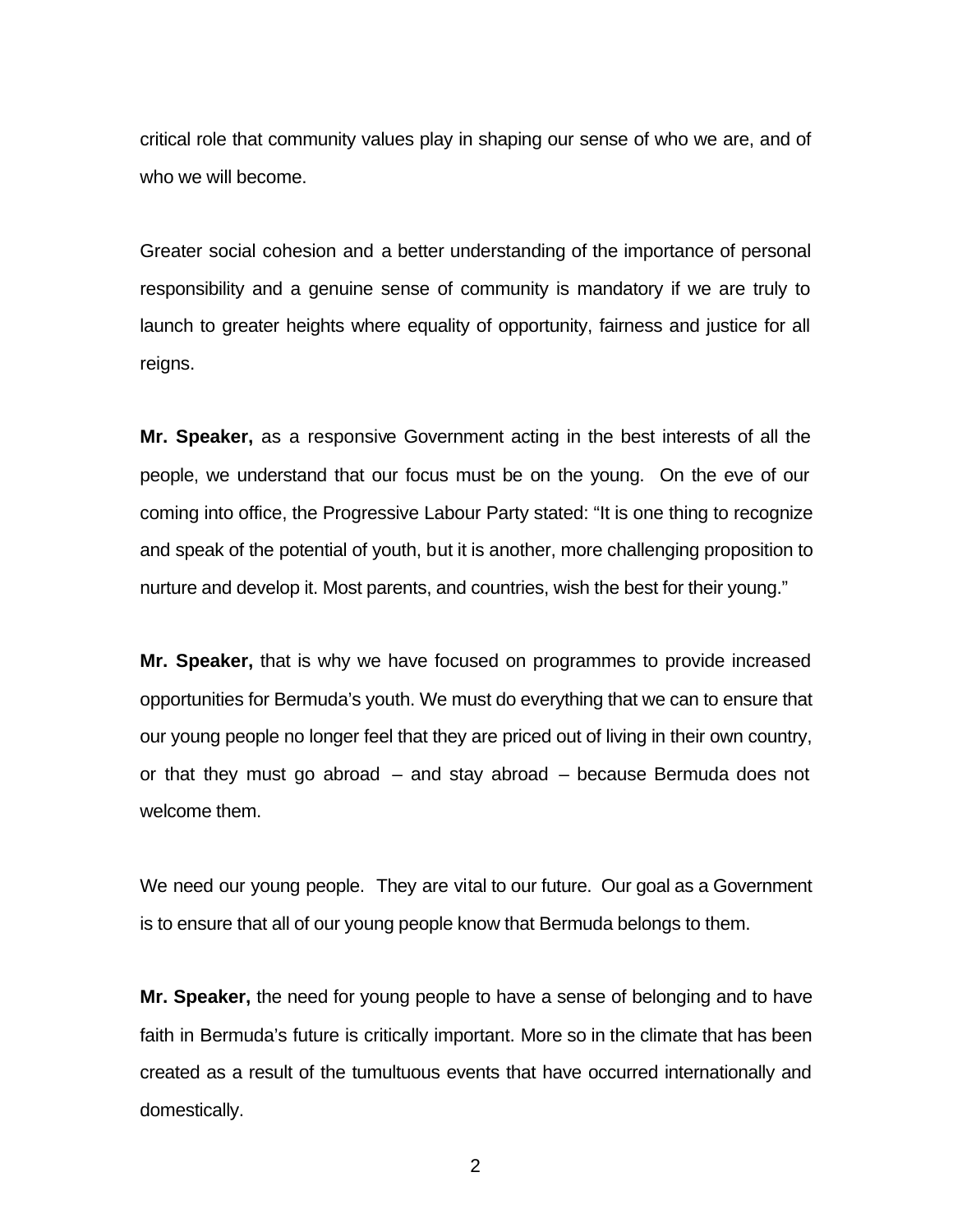critical role that community values play in shaping our sense of who we are, and of who we will become.

Greater social cohesion and a better understanding of the importance of personal responsibility and a genuine sense of community is mandatory if we are truly to launch to greater heights where equality of opportunity, fairness and justice for all reigns.

**Mr. Speaker,** as a responsive Government acting in the best interests of all the people, we understand that our focus must be on the young. On the eve of our coming into office, the Progressive Labour Party stated: "It is one thing to recognize and speak of the potential of youth, but it is another, more challenging proposition to nurture and develop it. Most parents, and countries, wish the best for their young."

**Mr. Speaker,** that is why we have focused on programmes to provide increased opportunities for Bermuda's youth. We must do everything that we can to ensure that our young people no longer feel that they are priced out of living in their own country, or that they must go abroad – and stay abroad – because Bermuda does not welcome them.

We need our young people. They are vital to our future. Our goal as a Government is to ensure that all of our young people know that Bermuda belongs to them.

**Mr. Speaker,** the need for young people to have a sense of belonging and to have faith in Bermuda's future is critically important. More so in the climate that has been created as a result of the tumultuous events that have occurred internationally and domestically.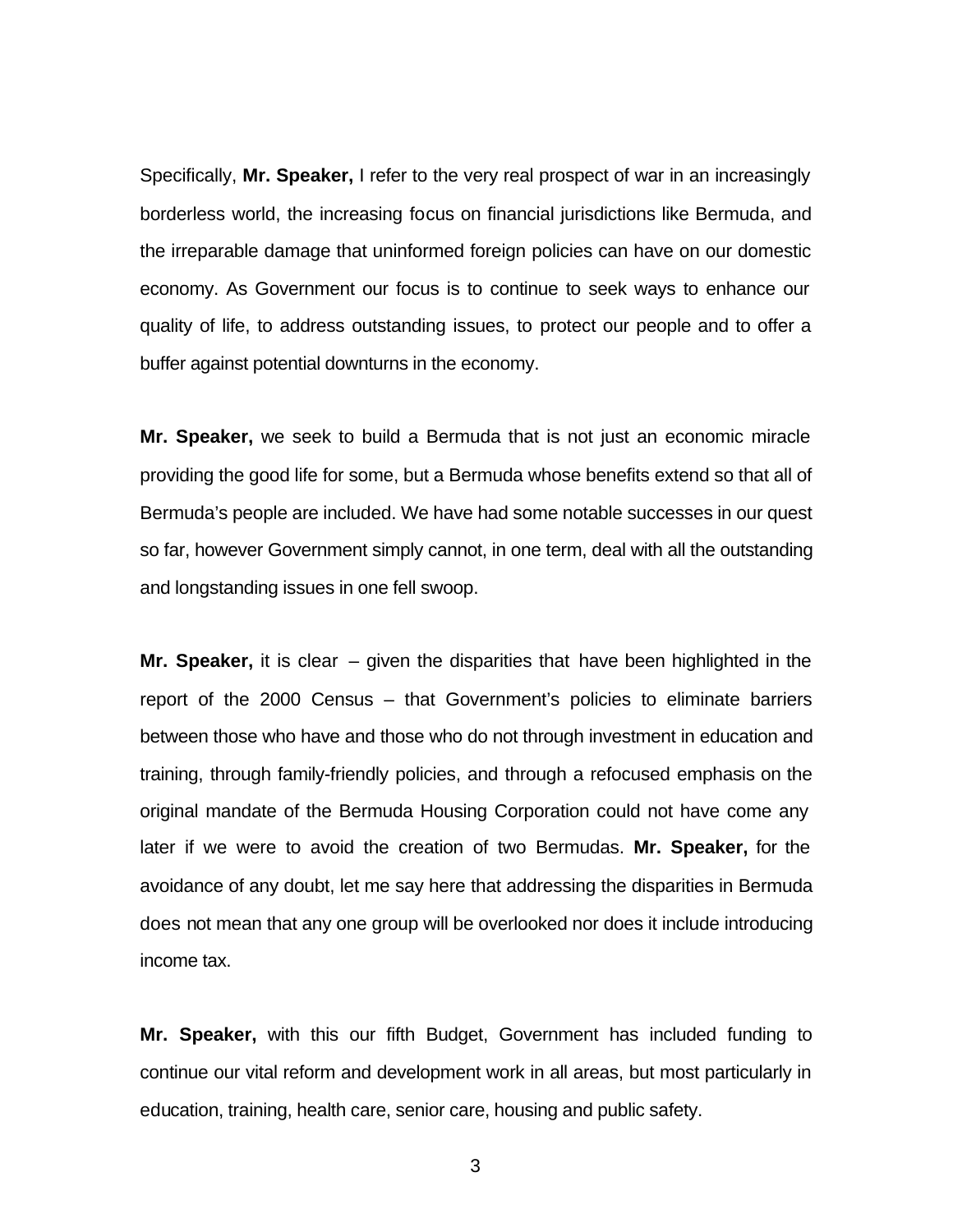Specifically, **Mr. Speaker,** I refer to the very real prospect of war in an increasingly borderless world, the increasing focus on financial jurisdictions like Bermuda, and the irreparable damage that uninformed foreign policies can have on our domestic economy. As Government our focus is to continue to seek ways to enhance our quality of life, to address outstanding issues, to protect our people and to offer a buffer against potential downturns in the economy.

**Mr. Speaker,** we seek to build a Bermuda that is not just an economic miracle providing the good life for some, but a Bermuda whose benefits extend so that all of Bermuda's people are included. We have had some notable successes in our quest so far, however Government simply cannot, in one term, deal with all the outstanding and longstanding issues in one fell swoop.

**Mr. Speaker,** it is clear – given the disparities that have been highlighted in the report of the 2000 Census – that Government's policies to eliminate barriers between those who have and those who do not through investment in education and training, through family-friendly policies, and through a refocused emphasis on the original mandate of the Bermuda Housing Corporation could not have come any later if we were to avoid the creation of two Bermudas. **Mr. Speaker,** for the avoidance of any doubt, let me say here that addressing the disparities in Bermuda does not mean that any one group will be overlooked nor does it include introducing income tax.

**Mr. Speaker,** with this our fifth Budget, Government has included funding to continue our vital reform and development work in all areas, but most particularly in education, training, health care, senior care, housing and public safety.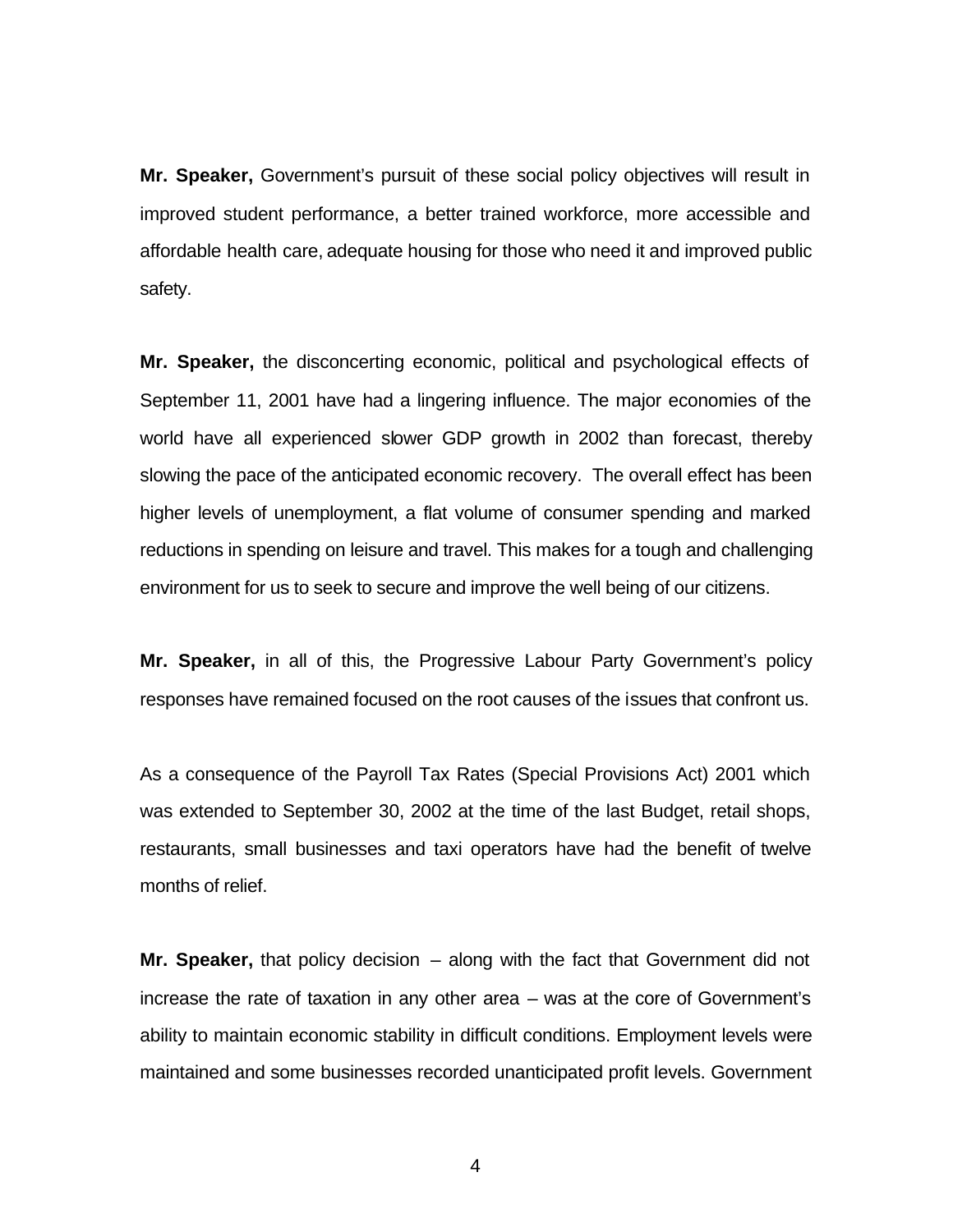**Mr. Speaker,** Government's pursuit of these social policy objectives will result in improved student performance, a better trained workforce, more accessible and affordable health care, adequate housing for those who need it and improved public safety.

**Mr. Speaker,** the disconcerting economic, political and psychological effects of September 11, 2001 have had a lingering influence. The major economies of the world have all experienced slower GDP growth in 2002 than forecast, thereby slowing the pace of the anticipated economic recovery. The overall effect has been higher levels of unemployment, a flat volume of consumer spending and marked reductions in spending on leisure and travel. This makes for a tough and challenging environment for us to seek to secure and improve the well being of our citizens.

**Mr. Speaker,** in all of this, the Progressive Labour Party Government's policy responses have remained focused on the root causes of the issues that confront us.

As a consequence of the Payroll Tax Rates (Special Provisions Act) 2001 which was extended to September 30, 2002 at the time of the last Budget, retail shops, restaurants, small businesses and taxi operators have had the benefit of twelve months of relief.

**Mr. Speaker,** that policy decision – along with the fact that Government did not increase the rate of taxation in any other area – was at the core of Government's ability to maintain economic stability in difficult conditions. Employment levels were maintained and some businesses recorded unanticipated profit levels. Government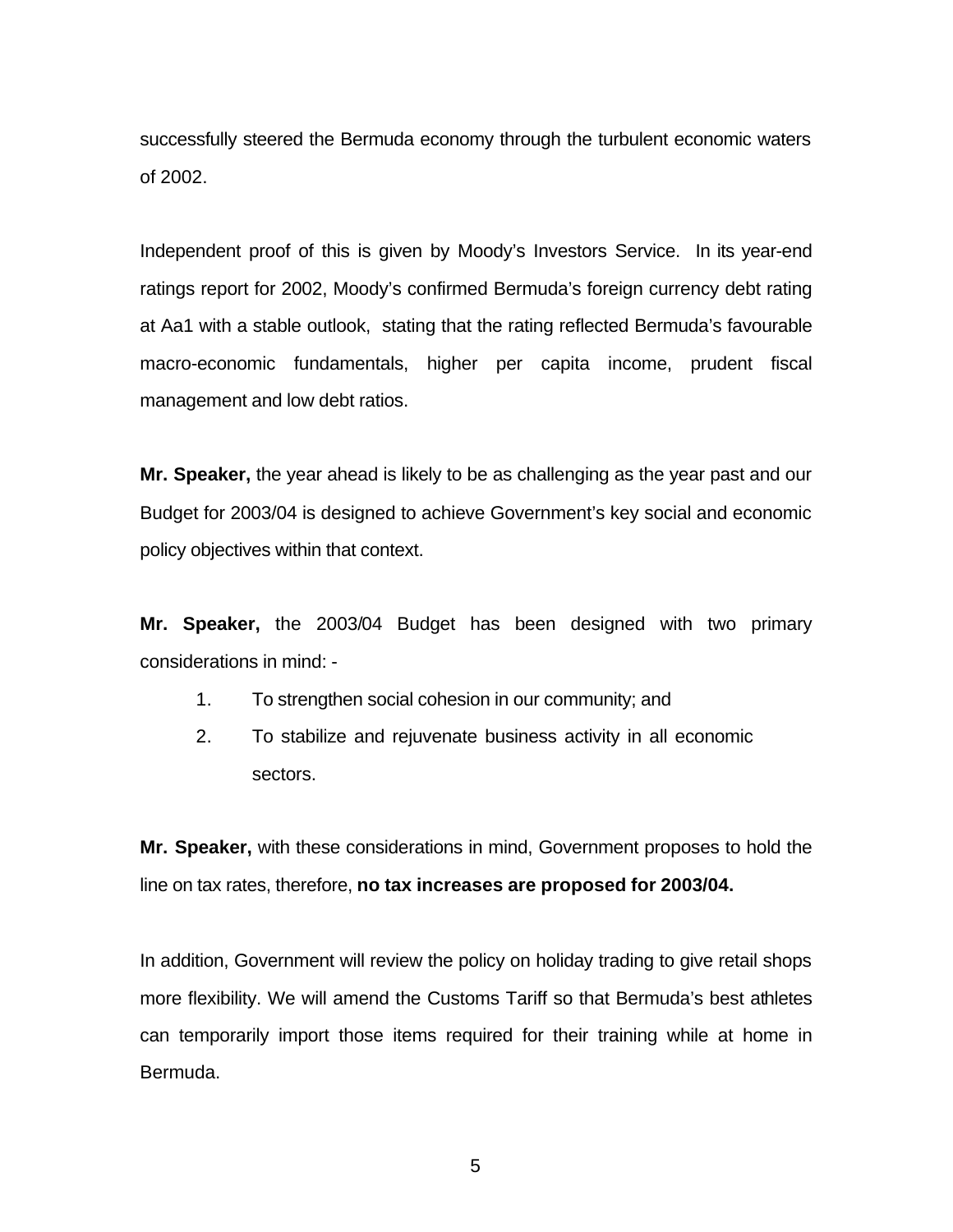successfully steered the Bermuda economy through the turbulent economic waters of 2002.

Independent proof of this is given by Moody's Investors Service. In its year-end ratings report for 2002, Moody's confirmed Bermuda's foreign currency debt rating at Aa1 with a stable outlook, stating that the rating reflected Bermuda's favourable macro-economic fundamentals, higher per capita income, prudent fiscal management and low debt ratios.

**Mr. Speaker,** the year ahead is likely to be as challenging as the year past and our Budget for 2003/04 is designed to achieve Government's key social and economic policy objectives within that context.

**Mr. Speaker,** the 2003/04 Budget has been designed with two primary considerations in mind: -

- 1. To strengthen social cohesion in our community; and
- 2. To stabilize and rejuvenate business activity in all economic sectors.

**Mr. Speaker,** with these considerations in mind, Government proposes to hold the line on tax rates, therefore, **no tax increases are proposed for 2003/04.**

In addition, Government will review the policy on holiday trading to give retail shops more flexibility. We will amend the Customs Tariff so that Bermuda's best athletes can temporarily import those items required for their training while at home in Bermuda.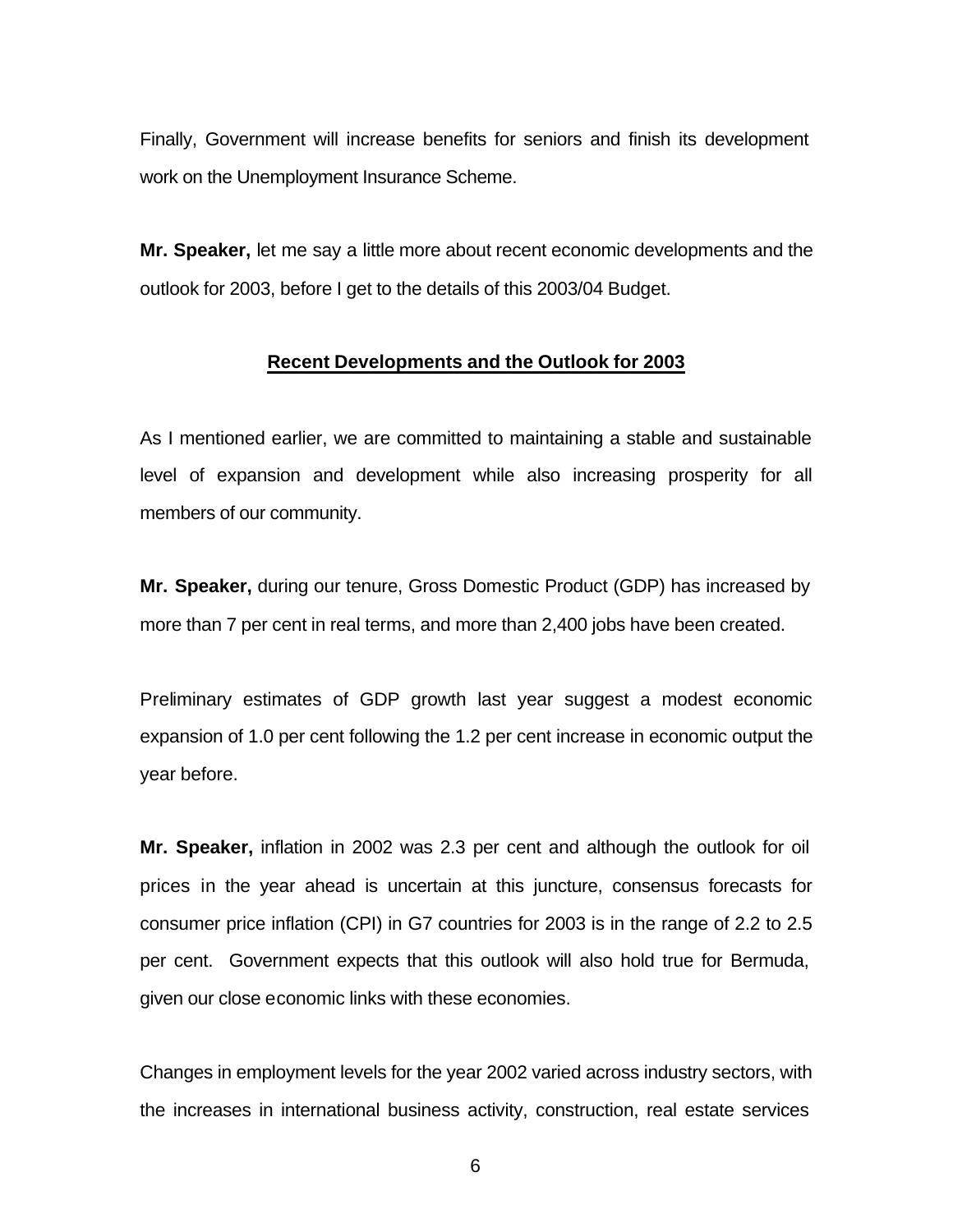Finally, Government will increase benefits for seniors and finish its development work on the Unemployment Insurance Scheme.

**Mr. Speaker,** let me say a little more about recent economic developments and the outlook for 2003, before I get to the details of this 2003/04 Budget.

#### **Recent Developments and the Outlook for 2003**

As I mentioned earlier, we are committed to maintaining a stable and sustainable level of expansion and development while also increasing prosperity for all members of our community.

**Mr. Speaker,** during our tenure, Gross Domestic Product (GDP) has increased by more than 7 per cent in real terms, and more than 2,400 jobs have been created.

Preliminary estimates of GDP growth last year suggest a modest economic expansion of 1.0 per cent following the 1.2 per cent increase in economic output the year before.

**Mr. Speaker,** inflation in 2002 was 2.3 per cent and although the outlook for oil prices in the year ahead is uncertain at this juncture, consensus forecasts for consumer price inflation (CPI) in G7 countries for 2003 is in the range of 2.2 to 2.5 per cent. Government expects that this outlook will also hold true for Bermuda, given our close economic links with these economies.

Changes in employment levels for the year 2002 varied across industry sectors, with the increases in international business activity, construction, real estate services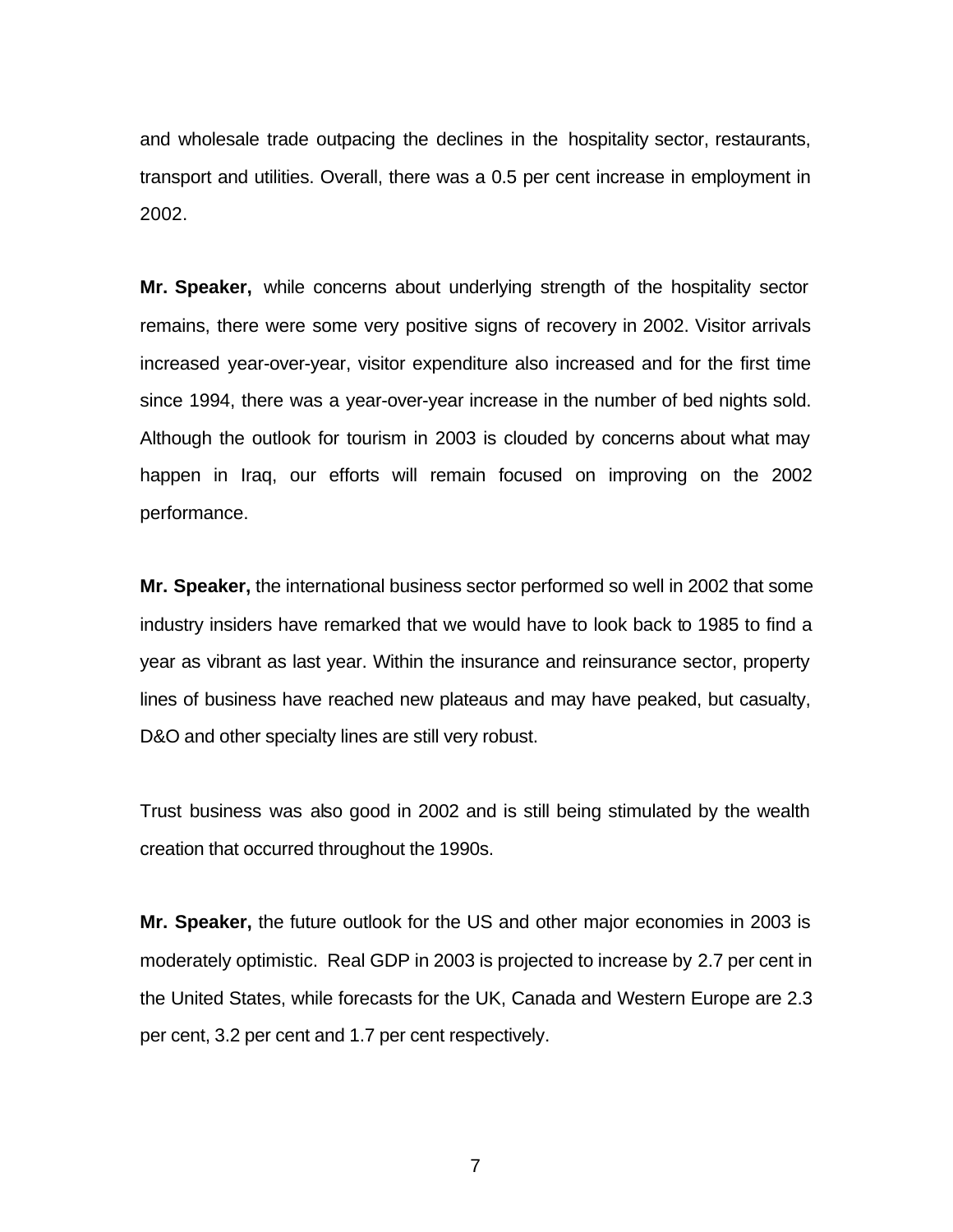and wholesale trade outpacing the declines in the hospitality sector, restaurants, transport and utilities. Overall, there was a 0.5 per cent increase in employment in 2002.

**Mr. Speaker,** while concerns about underlying strength of the hospitality sector remains, there were some very positive signs of recovery in 2002. Visitor arrivals increased year-over-year, visitor expenditure also increased and for the first time since 1994, there was a year-over-year increase in the number of bed nights sold. Although the outlook for tourism in 2003 is clouded by concerns about what may happen in Iraq, our efforts will remain focused on improving on the 2002 performance.

**Mr. Speaker,** the international business sector performed so well in 2002 that some industry insiders have remarked that we would have to look back to 1985 to find a year as vibrant as last year. Within the insurance and reinsurance sector, property lines of business have reached new plateaus and may have peaked, but casualty, D&O and other specialty lines are still very robust.

Trust business was also good in 2002 and is still being stimulated by the wealth creation that occurred throughout the 1990s.

**Mr. Speaker,** the future outlook for the US and other major economies in 2003 is moderately optimistic. Real GDP in 2003 is projected to increase by 2.7 per cent in the United States, while forecasts for the UK, Canada and Western Europe are 2.3 per cent, 3.2 per cent and 1.7 per cent respectively.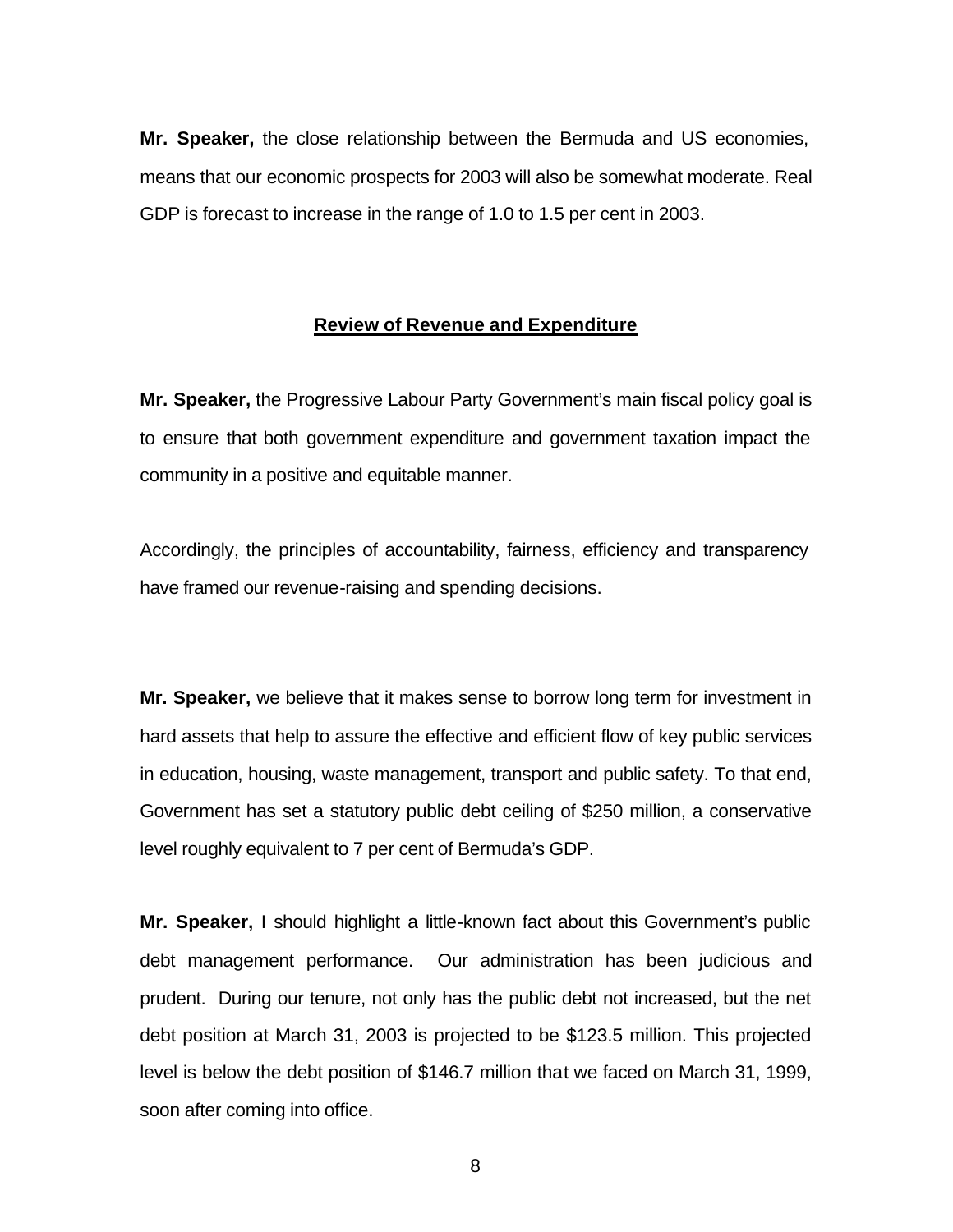**Mr. Speaker,** the close relationship between the Bermuda and US economies, means that our economic prospects for 2003 will also be somewhat moderate. Real GDP is forecast to increase in the range of 1.0 to 1.5 per cent in 2003.

# **Review of Revenue and Expenditure**

**Mr. Speaker,** the Progressive Labour Party Government's main fiscal policy goal is to ensure that both government expenditure and government taxation impact the community in a positive and equitable manner.

Accordingly, the principles of accountability, fairness, efficiency and transparency have framed our revenue-raising and spending decisions.

**Mr. Speaker,** we believe that it makes sense to borrow long term for investment in hard assets that help to assure the effective and efficient flow of key public services in education, housing, waste management, transport and public safety. To that end, Government has set a statutory public debt ceiling of \$250 million, a conservative level roughly equivalent to 7 per cent of Bermuda's GDP.

**Mr. Speaker,** I should highlight a little-known fact about this Government's public debt management performance. Our administration has been judicious and prudent. During our tenure, not only has the public debt not increased, but the net debt position at March 31, 2003 is projected to be \$123.5 million. This projected level is below the debt position of \$146.7 million that we faced on March 31, 1999, soon after coming into office.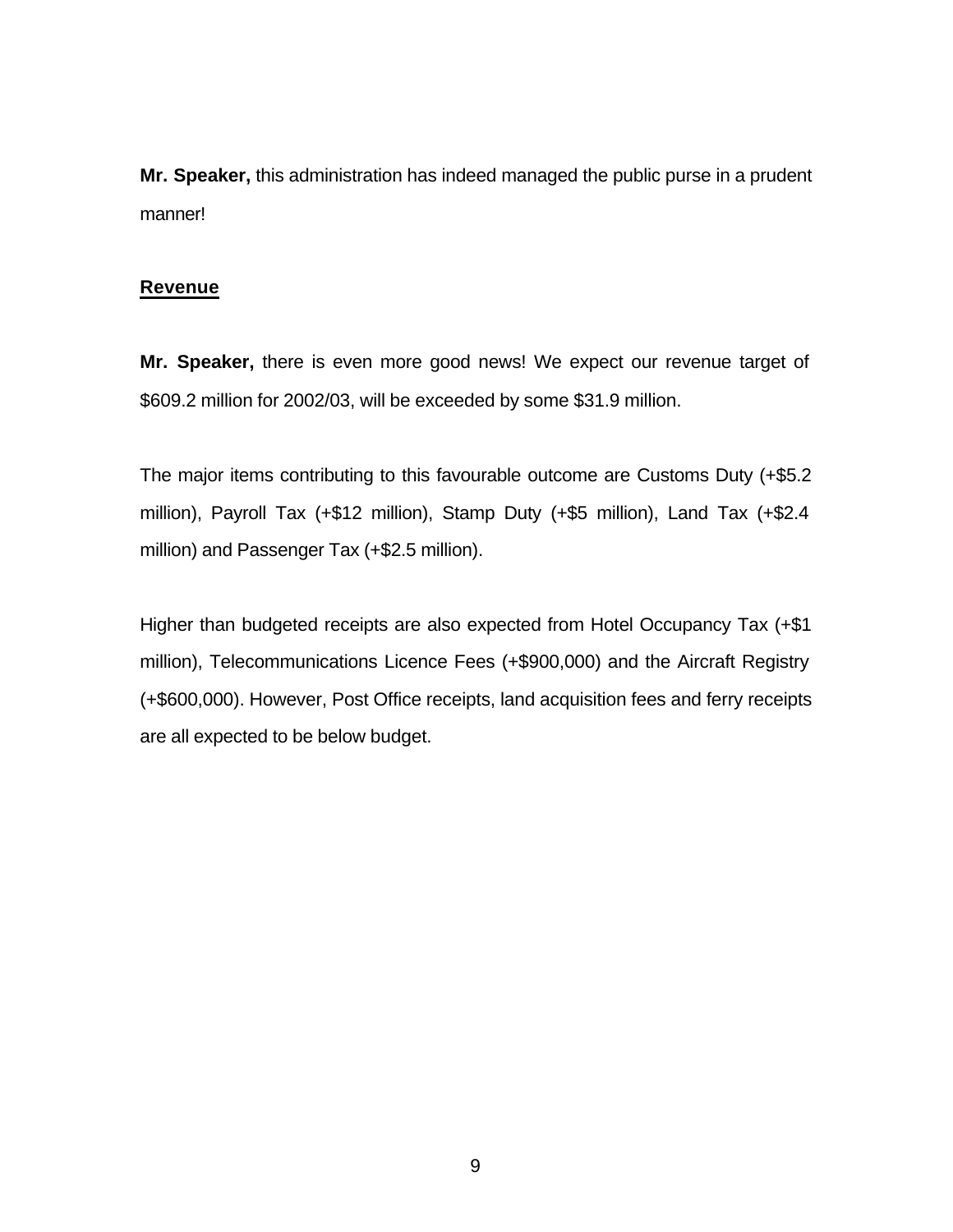**Mr. Speaker,** this administration has indeed managed the public purse in a prudent manner!

## **Revenue**

**Mr. Speaker,** there is even more good news! We expect our revenue target of \$609.2 million for 2002/03, will be exceeded by some \$31.9 million.

The major items contributing to this favourable outcome are Customs Duty (+\$5.2 million), Payroll Tax (+\$12 million), Stamp Duty (+\$5 million), Land Tax (+\$2.4 million) and Passenger Tax (+\$2.5 million).

Higher than budgeted receipts are also expected from Hotel Occupancy Tax (+\$1 million), Telecommunications Licence Fees (+\$900,000) and the Aircraft Registry (+\$600,000). However, Post Office receipts, land acquisition fees and ferry receipts are all expected to be below budget.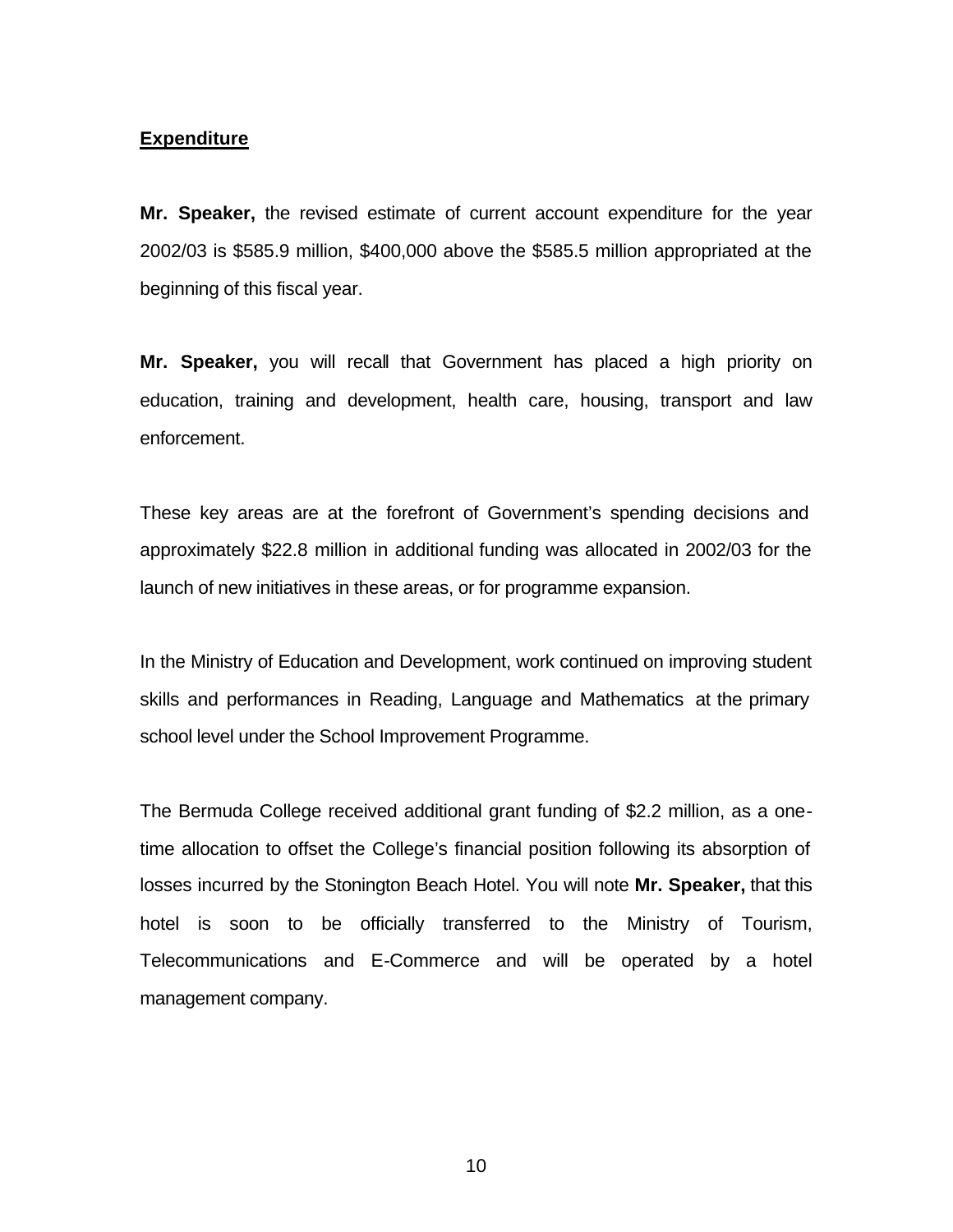## **Expenditure**

**Mr. Speaker,** the revised estimate of current account expenditure for the year 2002/03 is \$585.9 million, \$400,000 above the \$585.5 million appropriated at the beginning of this fiscal year.

**Mr. Speaker,** you will recall that Government has placed a high priority on education, training and development, health care, housing, transport and law enforcement.

These key areas are at the forefront of Government's spending decisions and approximately \$22.8 million in additional funding was allocated in 2002/03 for the launch of new initiatives in these areas, or for programme expansion.

In the Ministry of Education and Development, work continued on improving student skills and performances in Reading, Language and Mathematics at the primary school level under the School Improvement Programme.

The Bermuda College received additional grant funding of \$2.2 million, as a onetime allocation to offset the College's financial position following its absorption of losses incurred by the Stonington Beach Hotel. You will note **Mr. Speaker,** that this hotel is soon to be officially transferred to the Ministry of Tourism, Telecommunications and E-Commerce and will be operated by a hotel management company.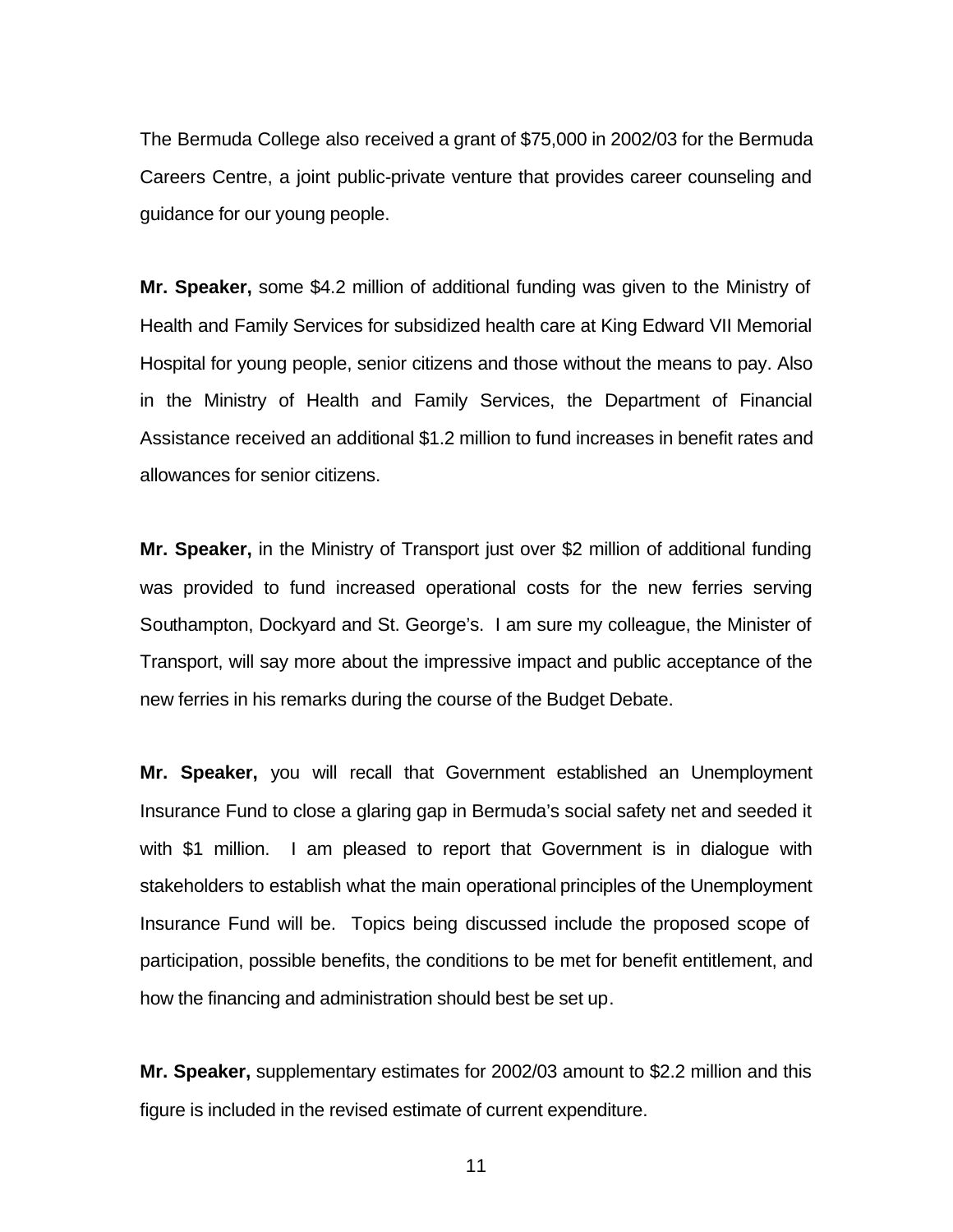The Bermuda College also received a grant of \$75,000 in 2002/03 for the Bermuda Careers Centre, a joint public-private venture that provides career counseling and guidance for our young people.

**Mr. Speaker,** some \$4.2 million of additional funding was given to the Ministry of Health and Family Services for subsidized health care at King Edward VII Memorial Hospital for young people, senior citizens and those without the means to pay. Also in the Ministry of Health and Family Services, the Department of Financial Assistance received an additional \$1.2 million to fund increases in benefit rates and allowances for senior citizens.

**Mr. Speaker,** in the Ministry of Transport just over \$2 million of additional funding was provided to fund increased operational costs for the new ferries serving Southampton, Dockyard and St. George's. I am sure my colleague, the Minister of Transport, will say more about the impressive impact and public acceptance of the new ferries in his remarks during the course of the Budget Debate.

**Mr. Speaker,** you will recall that Government established an Unemployment Insurance Fund to close a glaring gap in Bermuda's social safety net and seeded it with \$1 million. I am pleased to report that Government is in dialogue with stakeholders to establish what the main operational principles of the Unemployment Insurance Fund will be. Topics being discussed include the proposed scope of participation, possible benefits, the conditions to be met for benefit entitlement, and how the financing and administration should best be set up.

**Mr. Speaker,** supplementary estimates for 2002/03 amount to \$2.2 million and this figure is included in the revised estimate of current expenditure.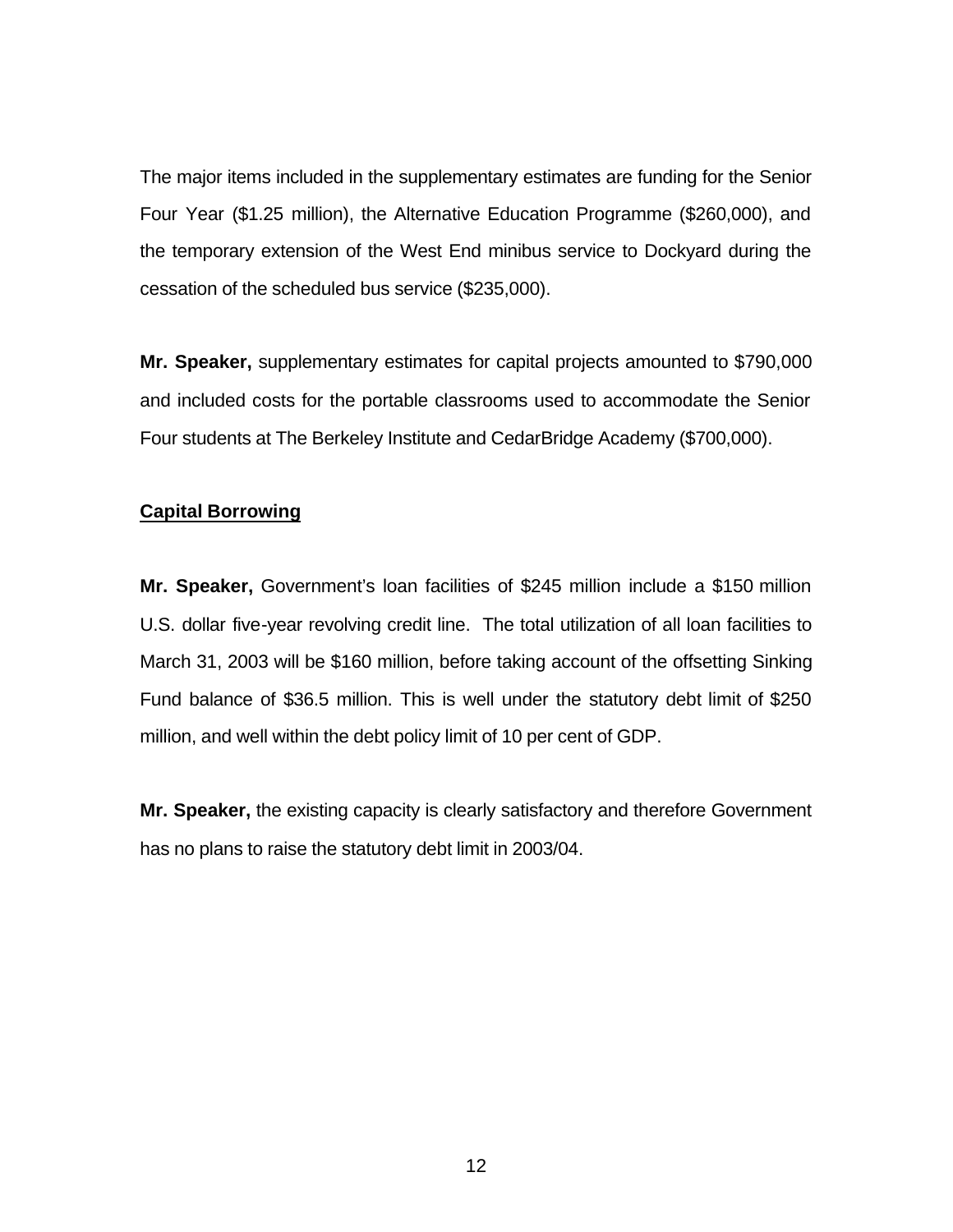The major items included in the supplementary estimates are funding for the Senior Four Year (\$1.25 million), the Alternative Education Programme (\$260,000), and the temporary extension of the West End minibus service to Dockyard during the cessation of the scheduled bus service (\$235,000).

**Mr. Speaker,** supplementary estimates for capital projects amounted to \$790,000 and included costs for the portable classrooms used to accommodate the Senior Four students at The Berkeley Institute and CedarBridge Academy (\$700,000).

### **Capital Borrowing**

**Mr. Speaker,** Government's loan facilities of \$245 million include a \$150 million U.S. dollar five-year revolving credit line. The total utilization of all loan facilities to March 31, 2003 will be \$160 million, before taking account of the offsetting Sinking Fund balance of \$36.5 million. This is well under the statutory debt limit of \$250 million, and well within the debt policy limit of 10 per cent of GDP.

**Mr. Speaker,** the existing capacity is clearly satisfactory and therefore Government has no plans to raise the statutory debt limit in 2003/04.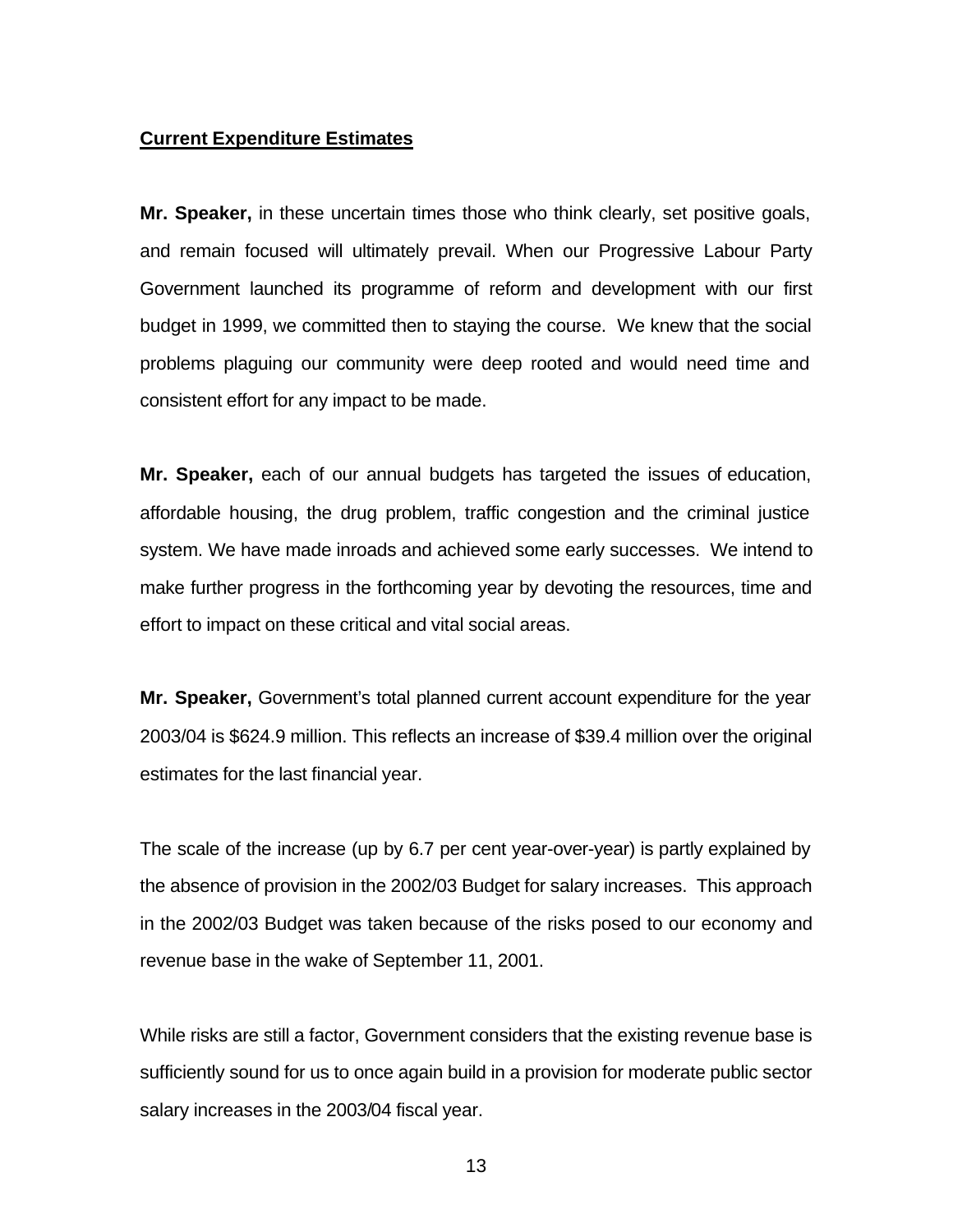#### **Current Expenditure Estimates**

**Mr. Speaker,** in these uncertain times those who think clearly, set positive goals, and remain focused will ultimately prevail. When our Progressive Labour Party Government launched its programme of reform and development with our first budget in 1999, we committed then to staying the course. We knew that the social problems plaguing our community were deep rooted and would need time and consistent effort for any impact to be made.

**Mr. Speaker,** each of our annual budgets has targeted the issues of education, affordable housing, the drug problem, traffic congestion and the criminal justice system. We have made inroads and achieved some early successes. We intend to make further progress in the forthcoming year by devoting the resources, time and effort to impact on these critical and vital social areas.

**Mr. Speaker,** Government's total planned current account expenditure for the year 2003/04 is \$624.9 million. This reflects an increase of \$39.4 million over the original estimates for the last financial year.

The scale of the increase (up by 6.7 per cent year-over-year) is partly explained by the absence of provision in the 2002/03 Budget for salary increases. This approach in the 2002/03 Budget was taken because of the risks posed to our economy and revenue base in the wake of September 11, 2001.

While risks are still a factor, Government considers that the existing revenue base is sufficiently sound for us to once again build in a provision for moderate public sector salary increases in the 2003/04 fiscal year.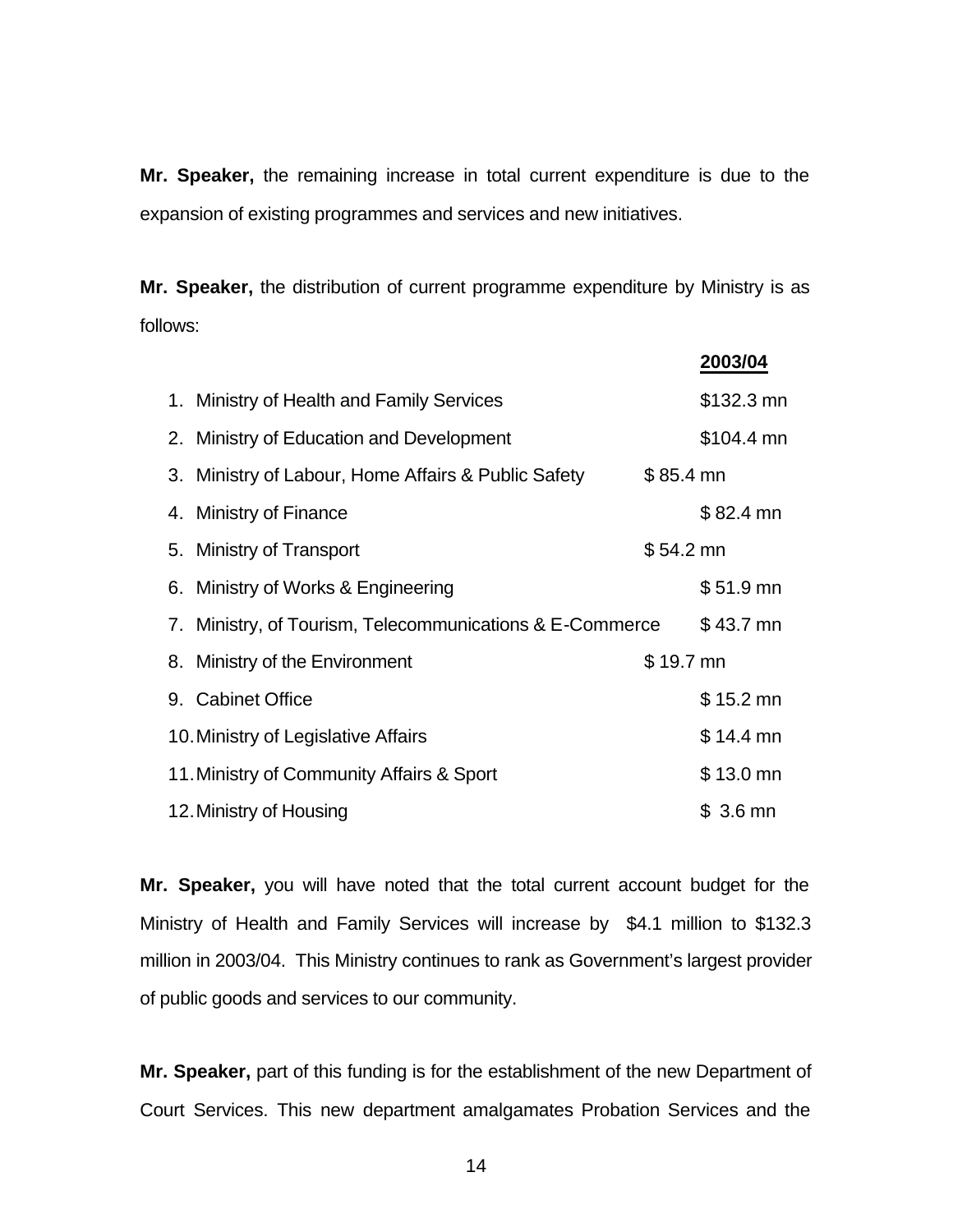**Mr. Speaker,** the remaining increase in total current expenditure is due to the expansion of existing programmes and services and new initiatives.

**Mr. Speaker,** the distribution of current programme expenditure by Ministry is as follows:

**2003/04**

| 1. Ministry of Health and Family Services                |            | \$132.3 mn |
|----------------------------------------------------------|------------|------------|
| 2. Ministry of Education and Development                 |            | \$104.4 mn |
| 3. Ministry of Labour, Home Affairs & Public Safety      | $$85.4$ mn |            |
| 4. Ministry of Finance                                   |            | $$82.4$ mn |
| 5. Ministry of Transport                                 | $$54.2$ mn |            |
| 6. Ministry of Works & Engineering                       |            | $$51.9$ mn |
| 7. Ministry, of Tourism, Telecommunications & E-Commerce |            | $$43.7$ mn |
| 8. Ministry of the Environment                           | $$19.7$ mn |            |
| 9. Cabinet Office                                        |            | $$15.2$ mn |
| 10. Ministry of Legislative Affairs                      |            | $$14.4$ mn |
| 11. Ministry of Community Affairs & Sport                |            | $$13.0$ mn |
| 12. Ministry of Housing                                  |            | $$3.6$ mn  |

**Mr. Speaker,** you will have noted that the total current account budget for the Ministry of Health and Family Services will increase by \$4.1 million to \$132.3 million in 2003/04. This Ministry continues to rank as Government's largest provider of public goods and services to our community.

**Mr. Speaker,** part of this funding is for the establishment of the new Department of Court Services. This new department amalgamates Probation Services and the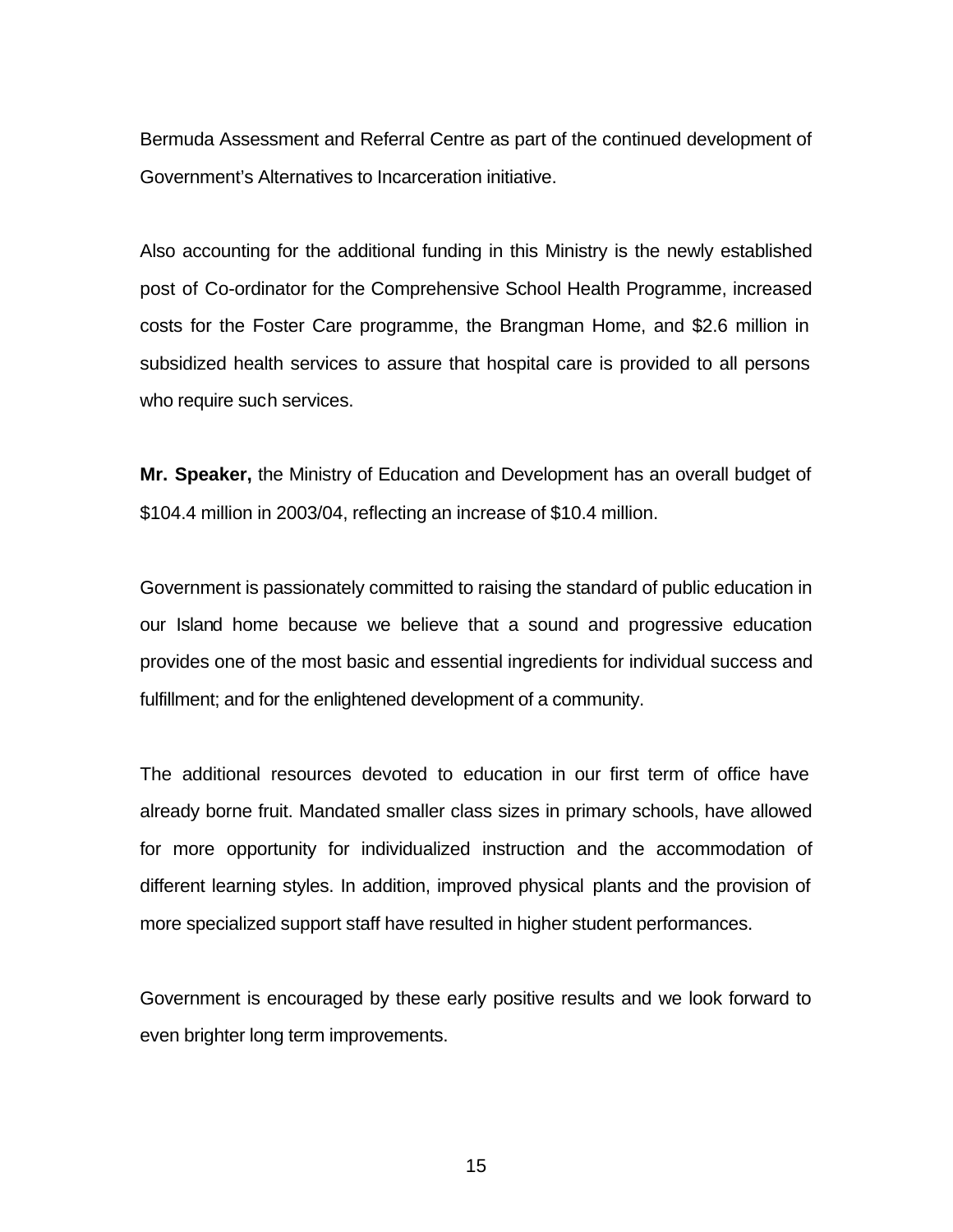Bermuda Assessment and Referral Centre as part of the continued development of Government's Alternatives to Incarceration initiative.

Also accounting for the additional funding in this Ministry is the newly established post of Co-ordinator for the Comprehensive School Health Programme, increased costs for the Foster Care programme, the Brangman Home, and \$2.6 million in subsidized health services to assure that hospital care is provided to all persons who require such services.

**Mr. Speaker,** the Ministry of Education and Development has an overall budget of \$104.4 million in 2003/04, reflecting an increase of \$10.4 million.

Government is passionately committed to raising the standard of public education in our Island home because we believe that a sound and progressive education provides one of the most basic and essential ingredients for individual success and fulfillment; and for the enlightened development of a community.

The additional resources devoted to education in our first term of office have already borne fruit. Mandated smaller class sizes in primary schools, have allowed for more opportunity for individualized instruction and the accommodation of different learning styles. In addition, improved physical plants and the provision of more specialized support staff have resulted in higher student performances.

Government is encouraged by these early positive results and we look forward to even brighter long term improvements.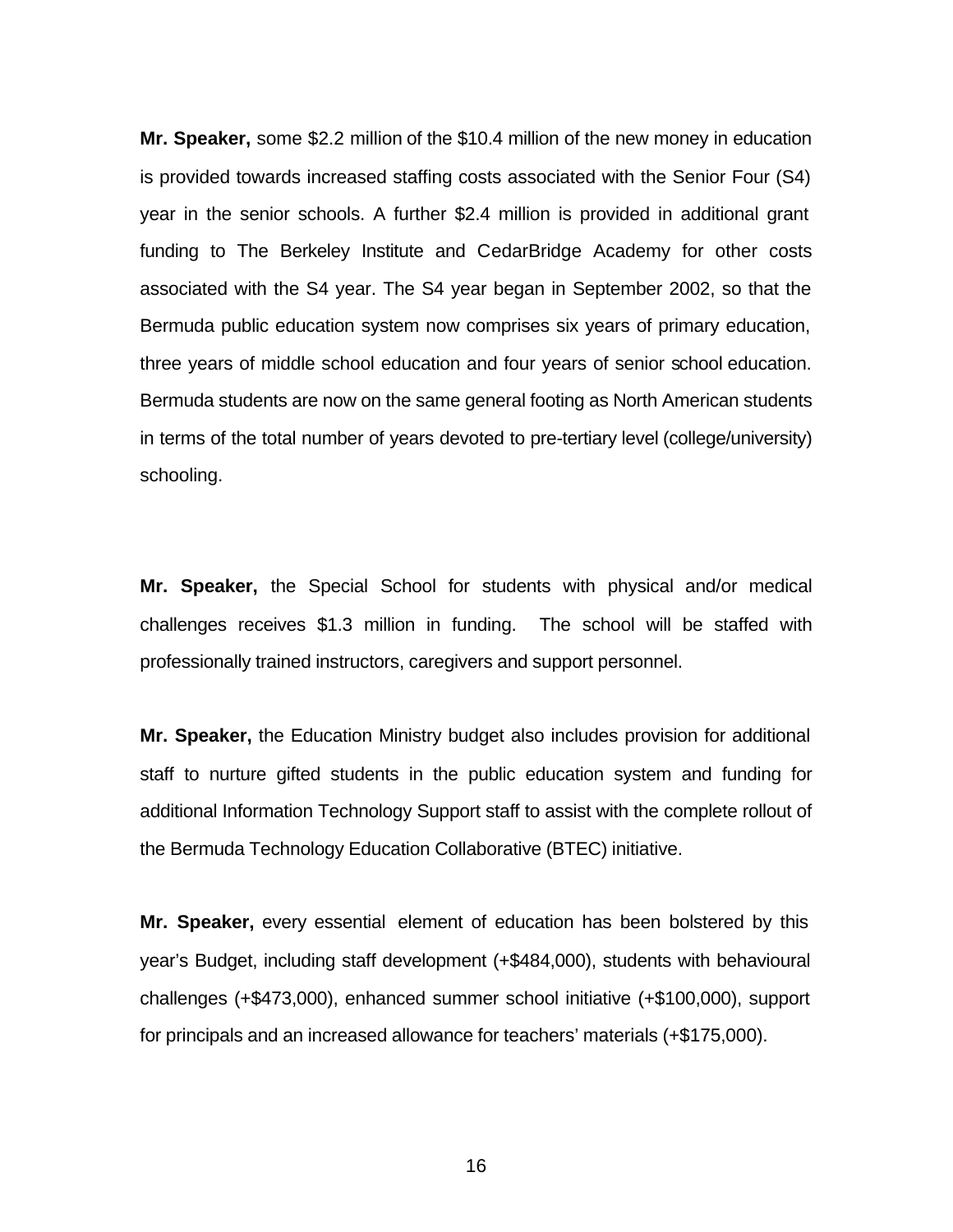**Mr. Speaker,** some \$2.2 million of the \$10.4 million of the new money in education is provided towards increased staffing costs associated with the Senior Four (S4) year in the senior schools. A further \$2.4 million is provided in additional grant funding to The Berkeley Institute and CedarBridge Academy for other costs associated with the S4 year. The S4 year began in September 2002, so that the Bermuda public education system now comprises six years of primary education, three years of middle school education and four years of senior school education. Bermuda students are now on the same general footing as North American students in terms of the total number of years devoted to pre-tertiary level (college/university) schooling.

**Mr. Speaker,** the Special School for students with physical and/or medical challenges receives \$1.3 million in funding. The school will be staffed with professionally trained instructors, caregivers and support personnel.

**Mr. Speaker,** the Education Ministry budget also includes provision for additional staff to nurture gifted students in the public education system and funding for additional Information Technology Support staff to assist with the complete rollout of the Bermuda Technology Education Collaborative (BTEC) initiative.

**Mr. Speaker,** every essential element of education has been bolstered by this year's Budget, including staff development (+\$484,000), students with behavioural challenges (+\$473,000), enhanced summer school initiative (+\$100,000), support for principals and an increased allowance for teachers' materials (+\$175,000).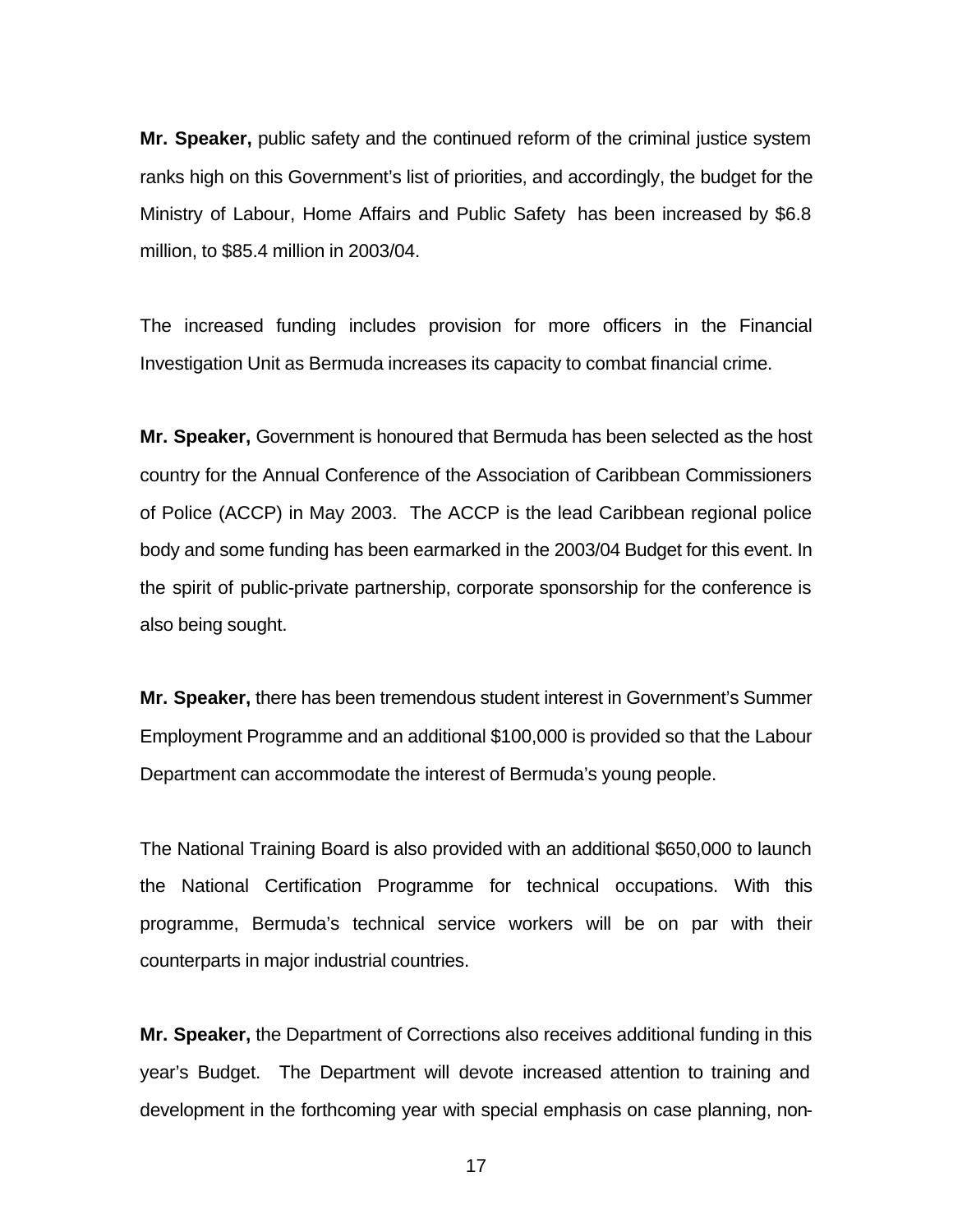**Mr. Speaker,** public safety and the continued reform of the criminal justice system ranks high on this Government's list of priorities, and accordingly, the budget for the Ministry of Labour, Home Affairs and Public Safety has been increased by \$6.8 million, to \$85.4 million in 2003/04.

The increased funding includes provision for more officers in the Financial Investigation Unit as Bermuda increases its capacity to combat financial crime.

**Mr. Speaker,** Government is honoured that Bermuda has been selected as the host country for the Annual Conference of the Association of Caribbean Commissioners of Police (ACCP) in May 2003. The ACCP is the lead Caribbean regional police body and some funding has been earmarked in the 2003/04 Budget for this event. In the spirit of public-private partnership, corporate sponsorship for the conference is also being sought.

**Mr. Speaker,** there has been tremendous student interest in Government's Summer Employment Programme and an additional \$100,000 is provided so that the Labour Department can accommodate the interest of Bermuda's young people.

The National Training Board is also provided with an additional \$650,000 to launch the National Certification Programme for technical occupations. With this programme, Bermuda's technical service workers will be on par with their counterparts in major industrial countries.

**Mr. Speaker,** the Department of Corrections also receives additional funding in this year's Budget. The Department will devote increased attention to training and development in the forthcoming year with special emphasis on case planning, non-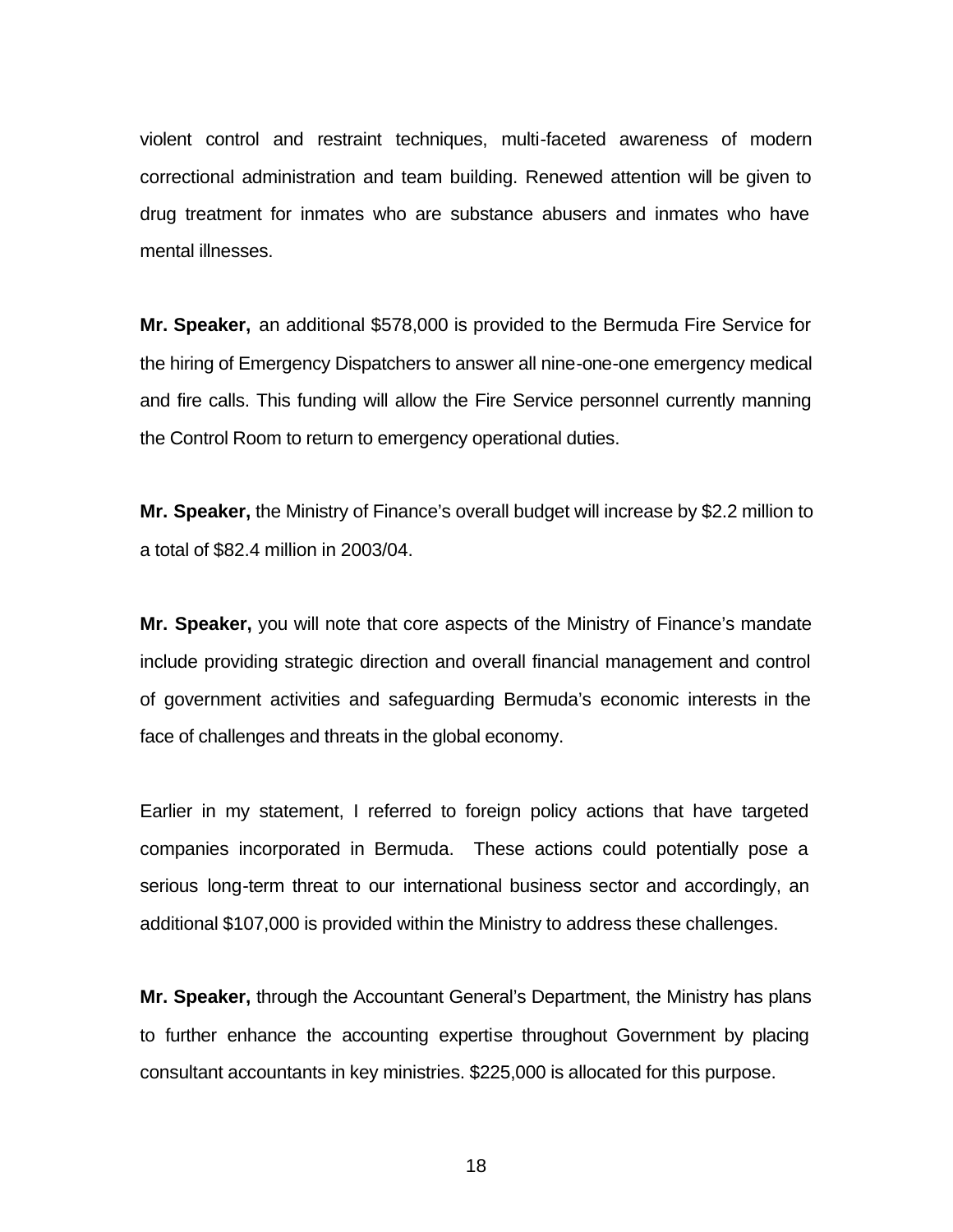violent control and restraint techniques, multi-faceted awareness of modern correctional administration and team building. Renewed attention will be given to drug treatment for inmates who are substance abusers and inmates who have mental illnesses.

**Mr. Speaker,** an additional \$578,000 is provided to the Bermuda Fire Service for the hiring of Emergency Dispatchers to answer all nine-one-one emergency medical and fire calls. This funding will allow the Fire Service personnel currently manning the Control Room to return to emergency operational duties.

**Mr. Speaker,** the Ministry of Finance's overall budget will increase by \$2.2 million to a total of \$82.4 million in 2003/04.

**Mr. Speaker,** you will note that core aspects of the Ministry of Finance's mandate include providing strategic direction and overall financial management and control of government activities and safeguarding Bermuda's economic interests in the face of challenges and threats in the global economy.

Earlier in my statement, I referred to foreign policy actions that have targeted companies incorporated in Bermuda. These actions could potentially pose a serious long-term threat to our international business sector and accordingly, an additional \$107,000 is provided within the Ministry to address these challenges.

**Mr. Speaker,** through the Accountant General's Department, the Ministry has plans to further enhance the accounting expertise throughout Government by placing consultant accountants in key ministries. \$225,000 is allocated for this purpose.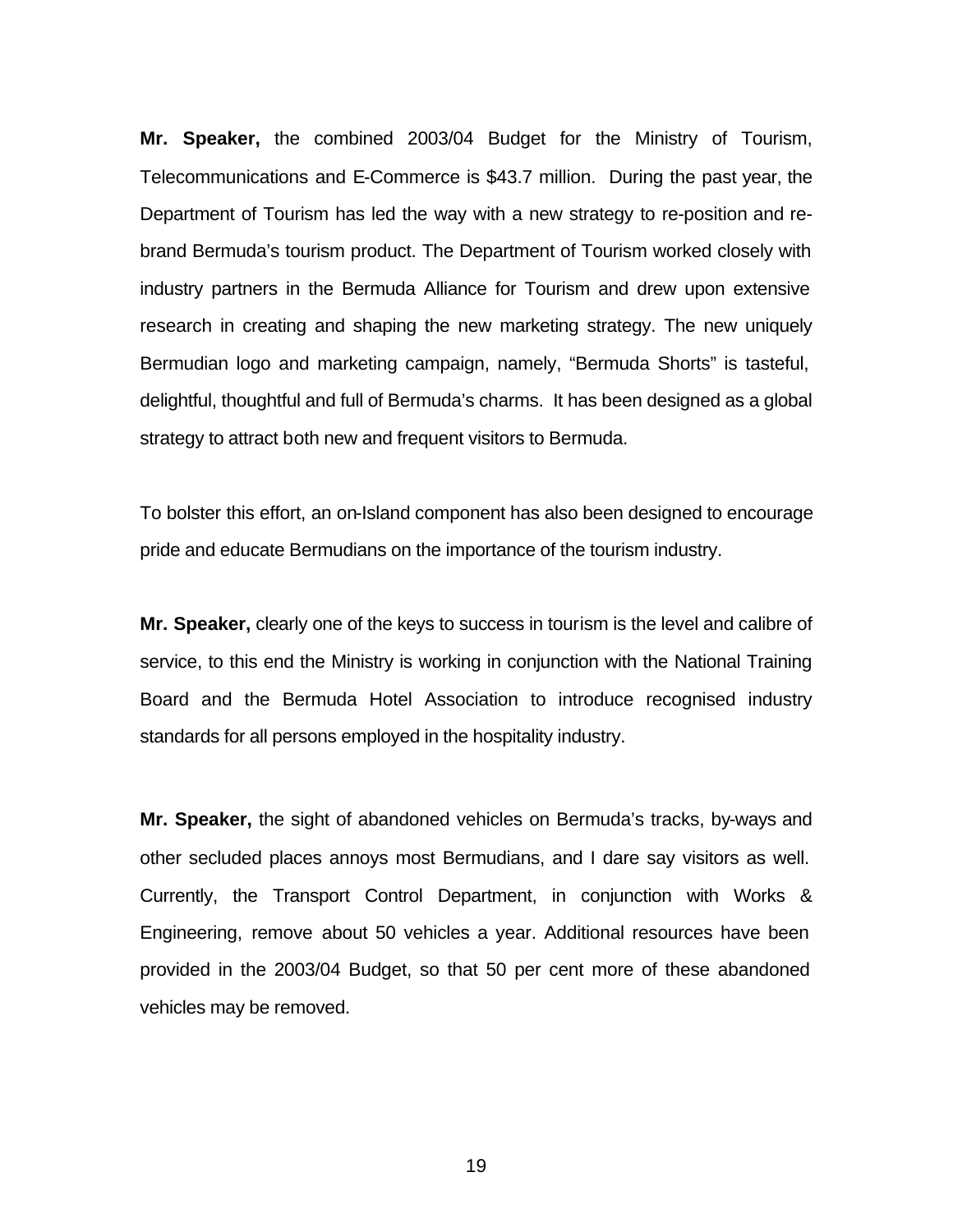**Mr. Speaker,** the combined 2003/04 Budget for the Ministry of Tourism, Telecommunications and E-Commerce is \$43.7 million. During the past year, the Department of Tourism has led the way with a new strategy to re-position and rebrand Bermuda's tourism product. The Department of Tourism worked closely with industry partners in the Bermuda Alliance for Tourism and drew upon extensive research in creating and shaping the new marketing strategy. The new uniquely Bermudian logo and marketing campaign, namely, "Bermuda Shorts" is tasteful, delightful, thoughtful and full of Bermuda's charms. It has been designed as a global strategy to attract both new and frequent visitors to Bermuda.

To bolster this effort, an on-Island component has also been designed to encourage pride and educate Bermudians on the importance of the tourism industry.

**Mr. Speaker,** clearly one of the keys to success in tourism is the level and calibre of service, to this end the Ministry is working in conjunction with the National Training Board and the Bermuda Hotel Association to introduce recognised industry standards for all persons employed in the hospitality industry.

**Mr. Speaker,** the sight of abandoned vehicles on Bermuda's tracks, by-ways and other secluded places annoys most Bermudians, and I dare say visitors as well. Currently, the Transport Control Department, in conjunction with Works & Engineering, remove about 50 vehicles a year. Additional resources have been provided in the 2003/04 Budget, so that 50 per cent more of these abandoned vehicles may be removed.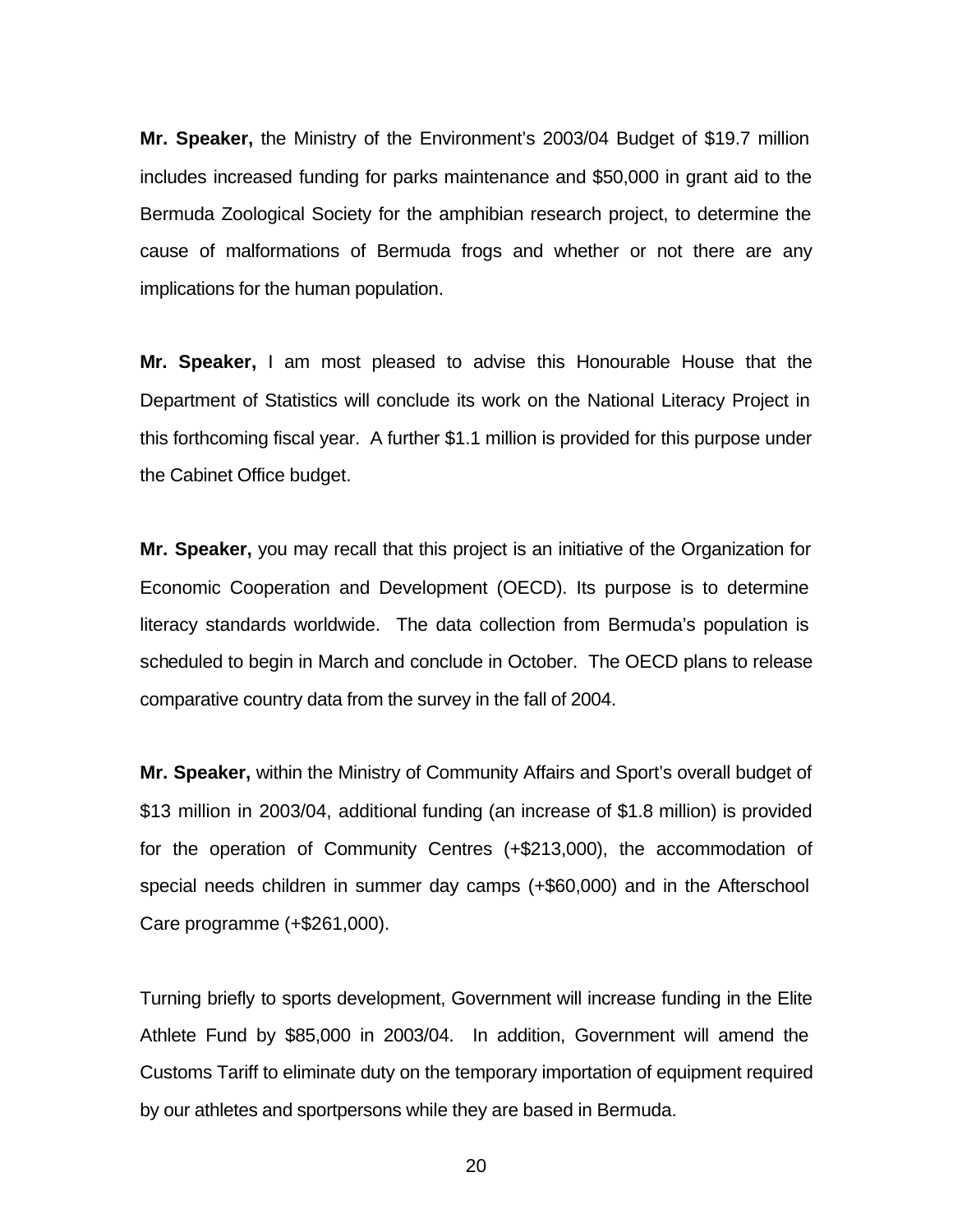**Mr. Speaker,** the Ministry of the Environment's 2003/04 Budget of \$19.7 million includes increased funding for parks maintenance and \$50,000 in grant aid to the Bermuda Zoological Society for the amphibian research project, to determine the cause of malformations of Bermuda frogs and whether or not there are any implications for the human population.

**Mr. Speaker,** I am most pleased to advise this Honourable House that the Department of Statistics will conclude its work on the National Literacy Project in this forthcoming fiscal year. A further \$1.1 million is provided for this purpose under the Cabinet Office budget.

**Mr. Speaker,** you may recall that this project is an initiative of the Organization for Economic Cooperation and Development (OECD). Its purpose is to determine literacy standards worldwide. The data collection from Bermuda's population is scheduled to begin in March and conclude in October. The OECD plans to release comparative country data from the survey in the fall of 2004.

**Mr. Speaker,** within the Ministry of Community Affairs and Sport's overall budget of \$13 million in 2003/04, additional funding (an increase of \$1.8 million) is provided for the operation of Community Centres (+\$213,000), the accommodation of special needs children in summer day camps (+\$60,000) and in the Afterschool Care programme (+\$261,000).

Turning briefly to sports development, Government will increase funding in the Elite Athlete Fund by \$85,000 in 2003/04. In addition, Government will amend the Customs Tariff to eliminate duty on the temporary importation of equipment required by our athletes and sportpersons while they are based in Bermuda.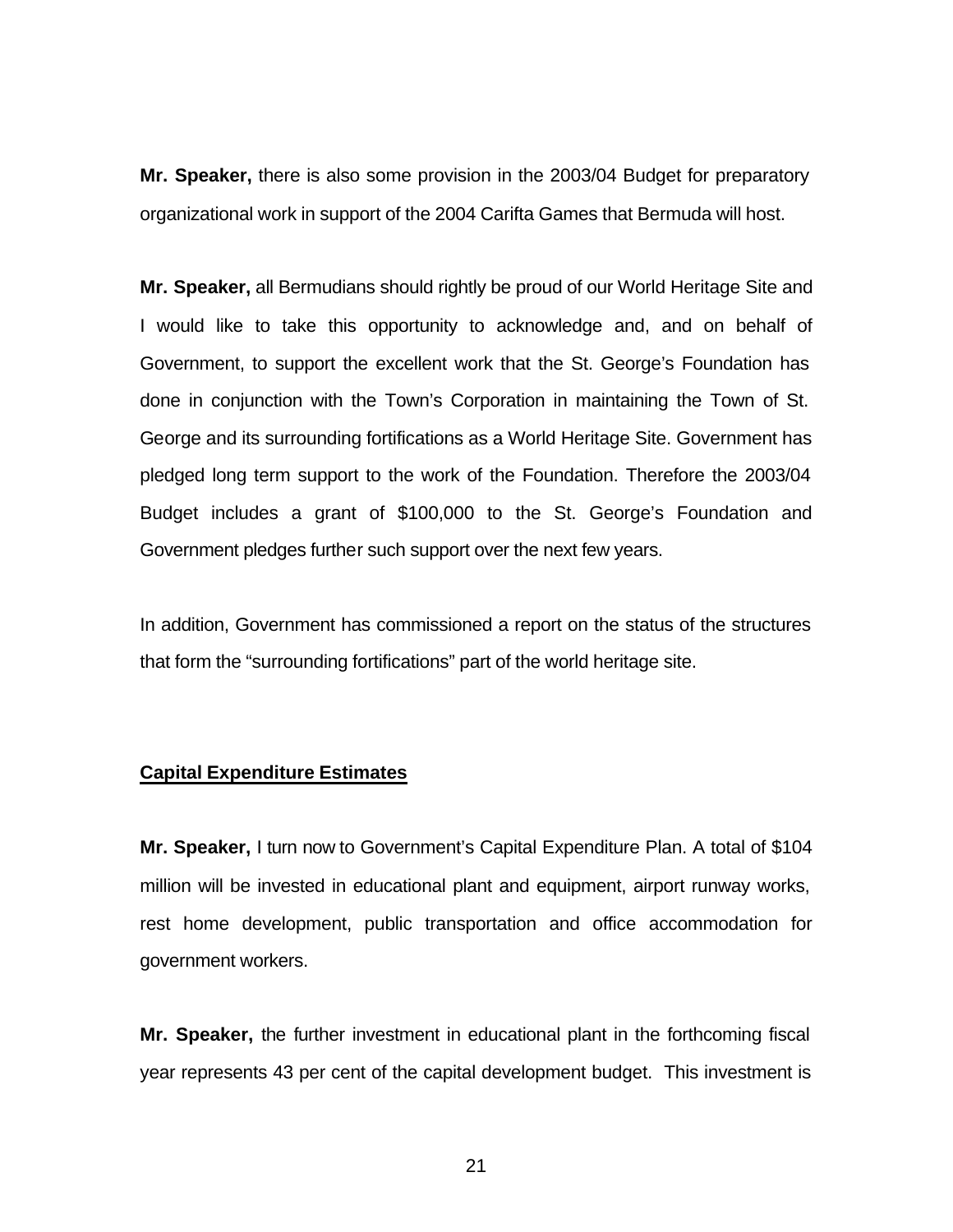**Mr. Speaker,** there is also some provision in the 2003/04 Budget for preparatory organizational work in support of the 2004 Carifta Games that Bermuda will host.

**Mr. Speaker,** all Bermudians should rightly be proud of our World Heritage Site and I would like to take this opportunity to acknowledge and, and on behalf of Government, to support the excellent work that the St. George's Foundation has done in conjunction with the Town's Corporation in maintaining the Town of St. George and its surrounding fortifications as a World Heritage Site. Government has pledged long term support to the work of the Foundation. Therefore the 2003/04 Budget includes a grant of \$100,000 to the St. George's Foundation and Government pledges further such support over the next few years.

In addition, Government has commissioned a report on the status of the structures that form the "surrounding fortifications" part of the world heritage site.

## **Capital Expenditure Estimates**

**Mr. Speaker,** I turn now to Government's Capital Expenditure Plan. A total of \$104 million will be invested in educational plant and equipment, airport runway works, rest home development, public transportation and office accommodation for government workers.

**Mr. Speaker,** the further investment in educational plant in the forthcoming fiscal year represents 43 per cent of the capital development budget. This investment is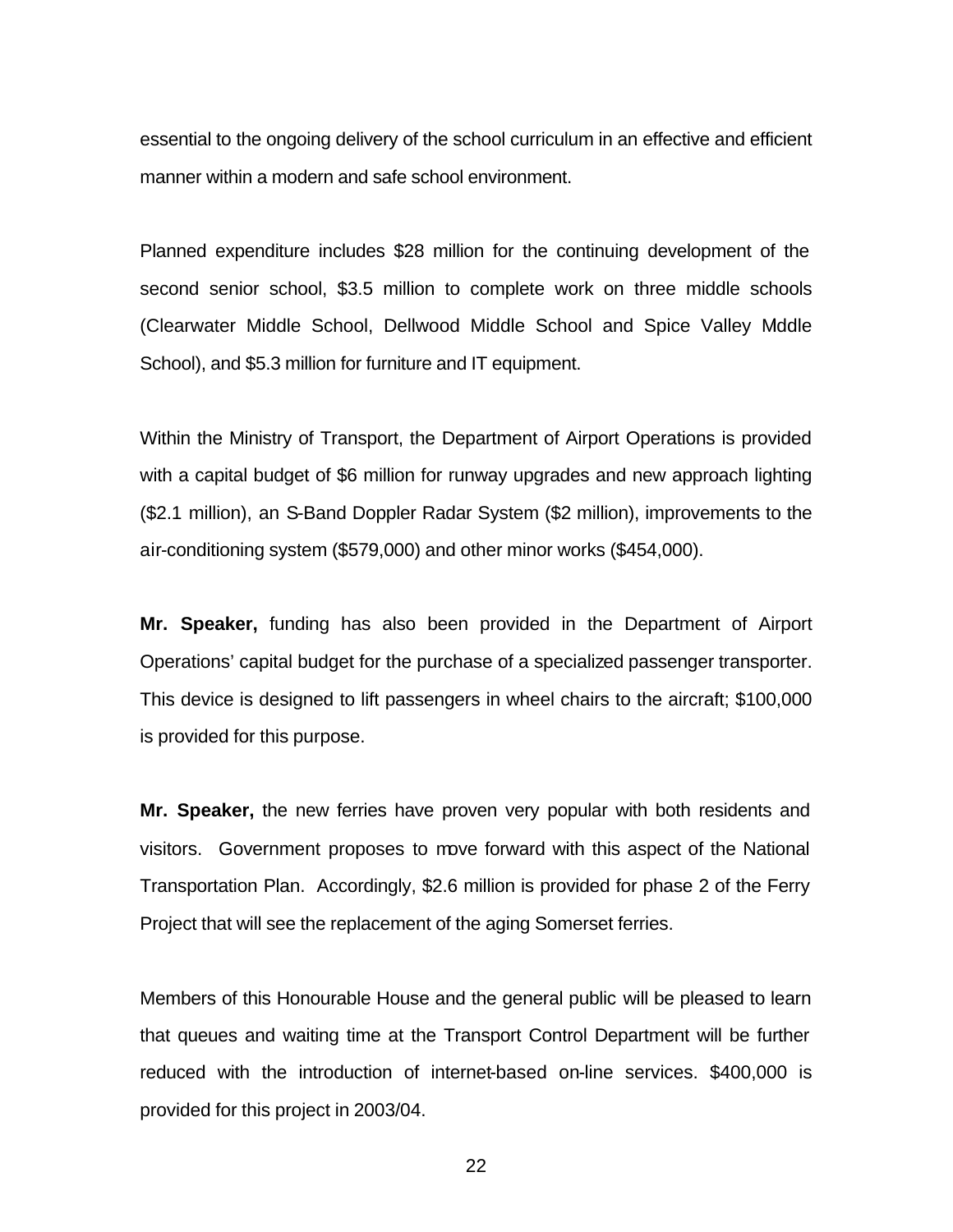essential to the ongoing delivery of the school curriculum in an effective and efficient manner within a modern and safe school environment.

Planned expenditure includes \$28 million for the continuing development of the second senior school, \$3.5 million to complete work on three middle schools (Clearwater Middle School, Dellwood Middle School and Spice Valley Mddle School), and \$5.3 million for furniture and IT equipment.

Within the Ministry of Transport, the Department of Airport Operations is provided with a capital budget of \$6 million for runway upgrades and new approach lighting (\$2.1 million), an S-Band Doppler Radar System (\$2 million), improvements to the air-conditioning system (\$579,000) and other minor works (\$454,000).

**Mr. Speaker,** funding has also been provided in the Department of Airport Operations' capital budget for the purchase of a specialized passenger transporter. This device is designed to lift passengers in wheel chairs to the aircraft; \$100,000 is provided for this purpose.

**Mr. Speaker,** the new ferries have proven very popular with both residents and visitors. Government proposes to move forward with this aspect of the National Transportation Plan. Accordingly, \$2.6 million is provided for phase 2 of the Ferry Project that will see the replacement of the aging Somerset ferries.

Members of this Honourable House and the general public will be pleased to learn that queues and waiting time at the Transport Control Department will be further reduced with the introduction of internet-based on-line services. \$400,000 is provided for this project in 2003/04.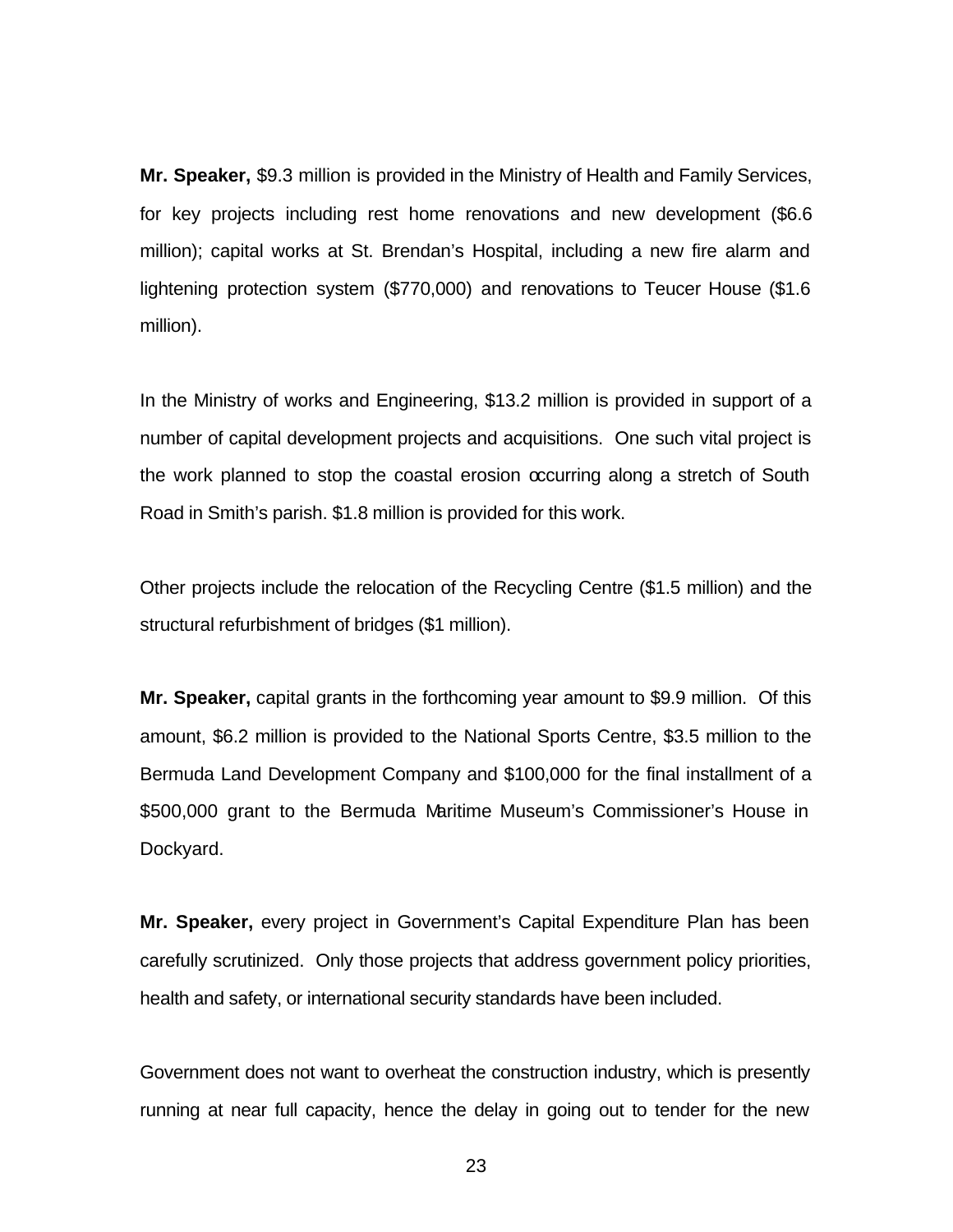**Mr. Speaker,** \$9.3 million is provided in the Ministry of Health and Family Services, for key projects including rest home renovations and new development (\$6.6 million); capital works at St. Brendan's Hospital, including a new fire alarm and lightening protection system (\$770,000) and renovations to Teucer House (\$1.6 million).

In the Ministry of works and Engineering, \$13.2 million is provided in support of a number of capital development projects and acquisitions. One such vital project is the work planned to stop the coastal erosion occurring along a stretch of South Road in Smith's parish. \$1.8 million is provided for this work.

Other projects include the relocation of the Recycling Centre (\$1.5 million) and the structural refurbishment of bridges (\$1 million).

**Mr. Speaker,** capital grants in the forthcoming year amount to \$9.9 million. Of this amount, \$6.2 million is provided to the National Sports Centre, \$3.5 million to the Bermuda Land Development Company and \$100,000 for the final installment of a \$500,000 grant to the Bermuda Maritime Museum's Commissioner's House in Dockyard.

**Mr. Speaker,** every project in Government's Capital Expenditure Plan has been carefully scrutinized. Only those projects that address government policy priorities, health and safety, or international security standards have been included.

Government does not want to overheat the construction industry, which is presently running at near full capacity, hence the delay in going out to tender for the new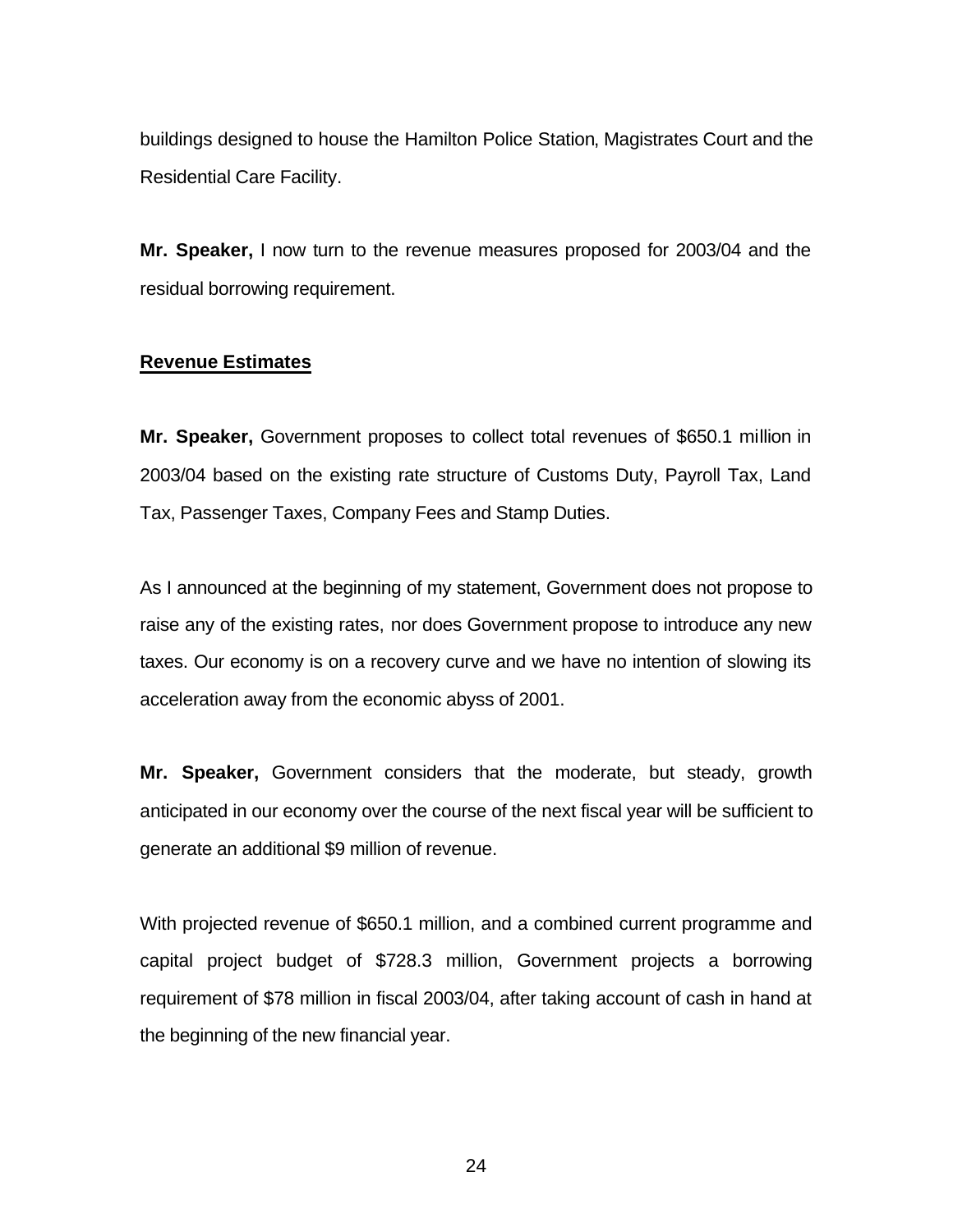buildings designed to house the Hamilton Police Station, Magistrates Court and the Residential Care Facility.

**Mr. Speaker,** I now turn to the revenue measures proposed for 2003/04 and the residual borrowing requirement.

### **Revenue Estimates**

**Mr. Speaker,** Government proposes to collect total revenues of \$650.1 million in 2003/04 based on the existing rate structure of Customs Duty, Payroll Tax, Land Tax, Passenger Taxes, Company Fees and Stamp Duties.

As I announced at the beginning of my statement, Government does not propose to raise any of the existing rates, nor does Government propose to introduce any new taxes. Our economy is on a recovery curve and we have no intention of slowing its acceleration away from the economic abyss of 2001.

**Mr. Speaker,** Government considers that the moderate, but steady, growth anticipated in our economy over the course of the next fiscal year will be sufficient to generate an additional \$9 million of revenue.

With projected revenue of \$650.1 million, and a combined current programme and capital project budget of \$728.3 million, Government projects a borrowing requirement of \$78 million in fiscal 2003/04, after taking account of cash in hand at the beginning of the new financial year.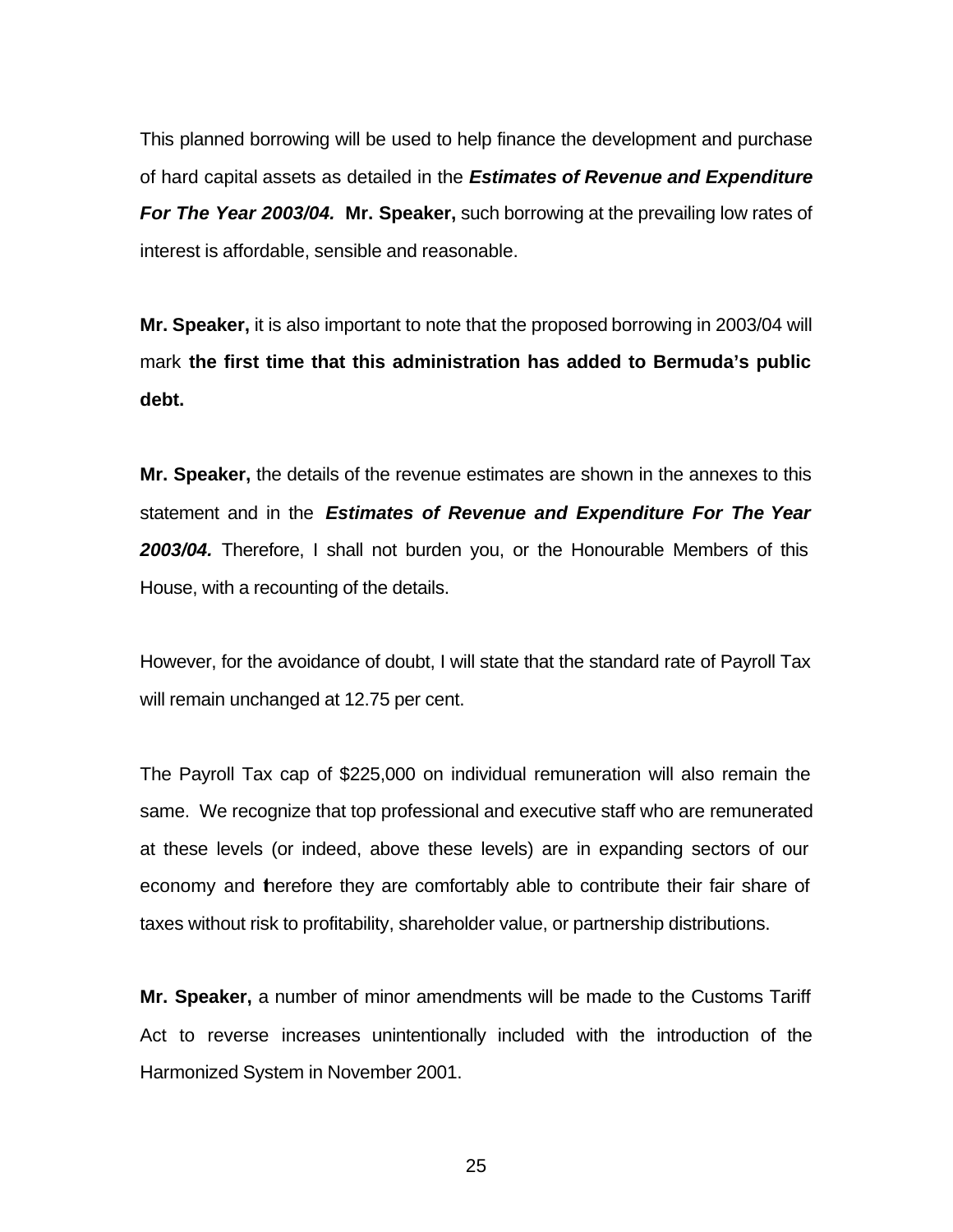This planned borrowing will be used to help finance the development and purchase of hard capital assets as detailed in the *Estimates of Revenue and Expenditure For The Year 2003/04.* **Mr. Speaker,** such borrowing at the prevailing low rates of interest is affordable, sensible and reasonable.

**Mr. Speaker,** it is also important to note that the proposed borrowing in 2003/04 will mark **the first time that this administration has added to Bermuda's public debt.** 

**Mr. Speaker,** the details of the revenue estimates are shown in the annexes to this statement and in the *Estimates of Revenue and Expenditure For The Year 2003/04.* Therefore, I shall not burden you, or the Honourable Members of this House, with a recounting of the details.

However, for the avoidance of doubt, I will state that the standard rate of Payroll Tax will remain unchanged at 12.75 per cent.

The Payroll Tax cap of \$225,000 on individual remuneration will also remain the same. We recognize that top professional and executive staff who are remunerated at these levels (or indeed, above these levels) are in expanding sectors of our economy and therefore they are comfortably able to contribute their fair share of taxes without risk to profitability, shareholder value, or partnership distributions.

**Mr. Speaker,** a number of minor amendments will be made to the Customs Tariff Act to reverse increases unintentionally included with the introduction of the Harmonized System in November 2001.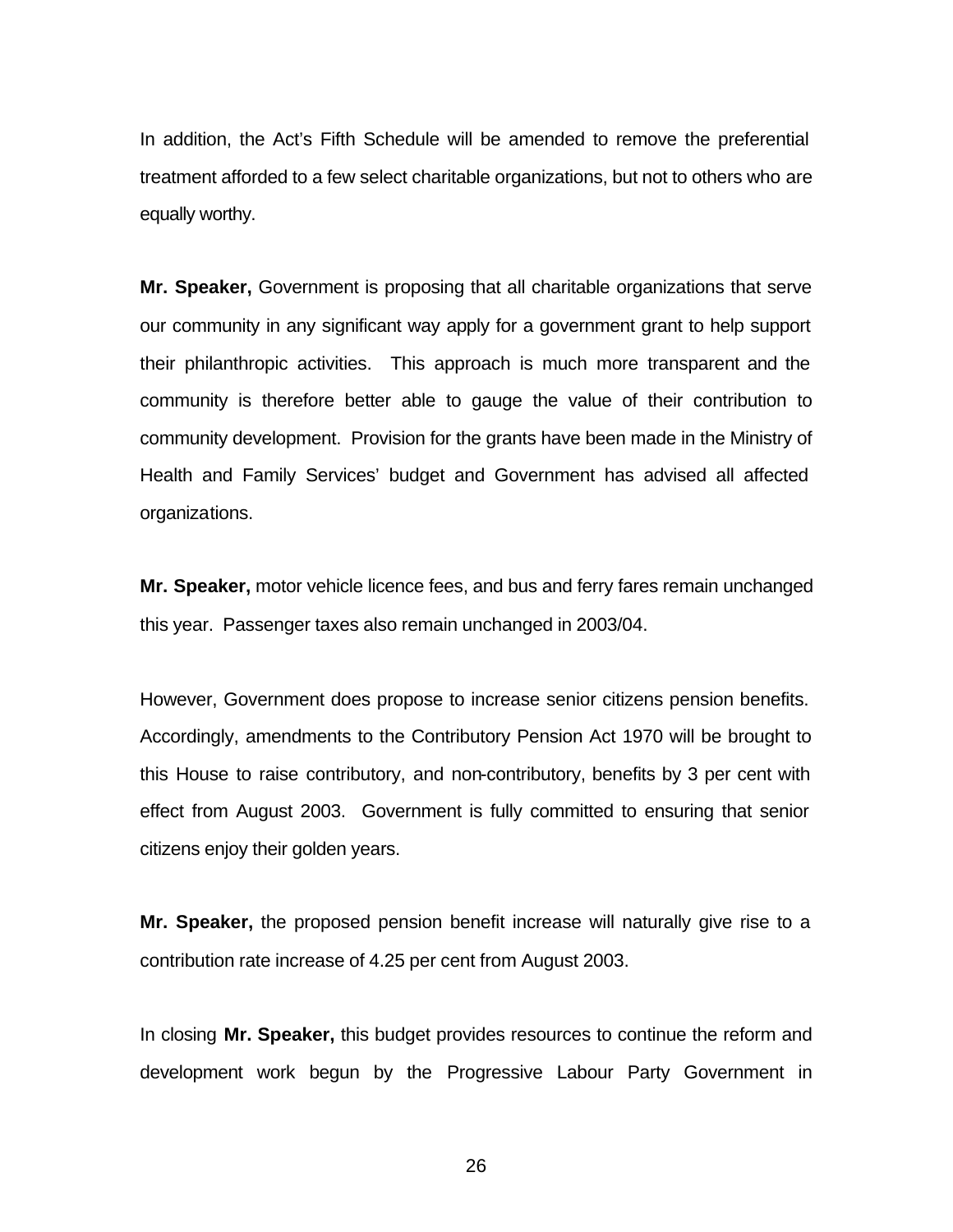In addition, the Act's Fifth Schedule will be amended to remove the preferential treatment afforded to a few select charitable organizations, but not to others who are equally worthy.

**Mr. Speaker,** Government is proposing that all charitable organizations that serve our community in any significant way apply for a government grant to help support their philanthropic activities. This approach is much more transparent and the community is therefore better able to gauge the value of their contribution to community development. Provision for the grants have been made in the Ministry of Health and Family Services' budget and Government has advised all affected organizations.

**Mr. Speaker,** motor vehicle licence fees, and bus and ferry fares remain unchanged this year. Passenger taxes also remain unchanged in 2003/04.

However, Government does propose to increase senior citizens pension benefits. Accordingly, amendments to the Contributory Pension Act 1970 will be brought to this House to raise contributory, and non-contributory, benefits by 3 per cent with effect from August 2003. Government is fully committed to ensuring that senior citizens enjoy their golden years.

**Mr. Speaker,** the proposed pension benefit increase will naturally give rise to a contribution rate increase of 4.25 per cent from August 2003.

In closing **Mr. Speaker,** this budget provides resources to continue the reform and development work begun by the Progressive Labour Party Government in